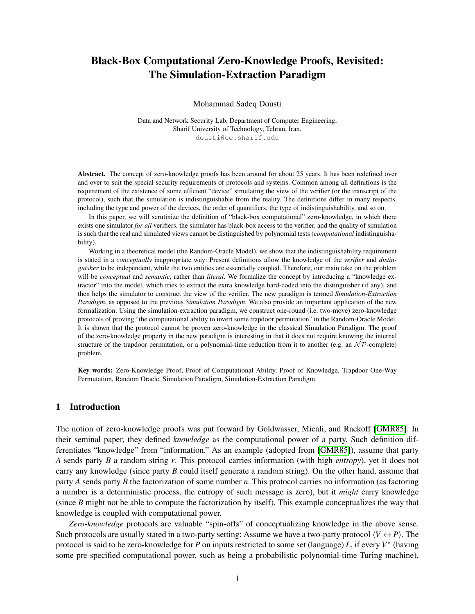# Black-Box Computational Zero-Knowledge Proofs, Revisited: The Simulation-Extraction Paradigm

Mohammad Sadeq Dousti

Data and Network Security Lab, Department of Computer Engineering, Sharif University of Technology, Tehran, Iran. dousti@ce.sharif.edu

Abstract. The concept of zero-knowledge proofs has been around for about 25 years. It has been redefined over and over to suit the special security requirements of protocols and systems. Common among all definitions is the requirement of the existence of some efficient "device" simulating the view of the verifier (or the transcript of the protocol), such that the simulation is indistinguishable from the reality. The definitions differ in many respects, including the type and power of the devices, the order of quantifiers, the type of indistinguishability, and so on.

In this paper, we will scrutinize the definition of "black-box computational" zero-knowledge, in which there exists one simulator *for all* verifiers, the simulator has black-box access to the verifier, and the quality of simulation is such that the real and simulated views cannot be distinguished by polynomial tests (*computational* indistinguishability).

Working in a theoretical model (the Random-Oracle Model), we show that the indistinguishability requirement is stated in a *conceptually* inappropriate way: Present definitions allow the knowledge of the *verifier* and *distinguisher* to be independent, while the two entities are essentially coupled. Therefore, our main take on the problem will be *conceptual* and *semantic*, rather than *literal*. We formalize the concept by introducing a "knowledge extractor" into the model, which tries to extract the extra knowledge hard-coded into the distinguisher (if any), and then helps the simulator to construct the view of the verifier. The new paradigm is termed *Simulation-Extraction Paradigm*, as opposed to the previous *Simulation Paradigm*. We also provide an important application of the new formalization: Using the simulation-extraction paradigm, we construct one-round (i.e. two-move) zero-knowledge protocols of proving "the computational ability to invert some trapdoor permutation" in the Random-Oracle Model. It is shown that the protocol cannot be proven zero-knowledge in the classical Simulation Paradigm. The proof of the zero-knowledge property in the new paradigm is interesting in that it does not require knowing the internal structure of the trapdoor permutation, or a polynomial-time reduction from it to another (e.g. an  $N\mathcal{P}$ -complete) problem.

Key words: Zero-Knowledge Proof, Proof of Computational Ability, Proof of Knowledge, Trapdoor One-Way Permutation, Random Oracle, Simulation Paradigm, Simulation-Extraction Paradigm.

# 1 Introduction

The notion of zero-knowledge proofs was put forward by Goldwasser, Micali, and Rackoff [\[GMR85\]](#page-25-0). In their seminal paper, they defined *knowledge* as the computational power of a party. Such definition differentiates "knowledge" from "information." As an example (adopted from [\[GMR85\]](#page-25-0)), assume that party *A* sends party *B* a random string *r*. This protocol carries information (with high *entropy*), yet it does not carry any knowledge (since party *B* could itself generate a random string). On the other hand, assume that party *A* sends party *B* the factorization of some number *n*. This protocol carries no information (as factoring a number is a deterministic process, the entropy of such message is zero), but it *might* carry knowledge (since *B* might not be able to compute the factorization by itself). This example conceptualizes the way that knowledge is coupled with computational power.

*Zero-knowledge* protocols are valuable "spin-offs" of conceptualizing knowledge in the above sense. Such protocols are usually stated in a two-party setting: Assume we have a two-party protocol  $\langle V \leftrightarrow P \rangle$ . The protocol is said to be zero-knowledge for *P* on inputs restricted to some set (language) *L*, if every *V* ∗ (having some pre-specified computational power, such as being a probabilistic polynomial-time Turing machine),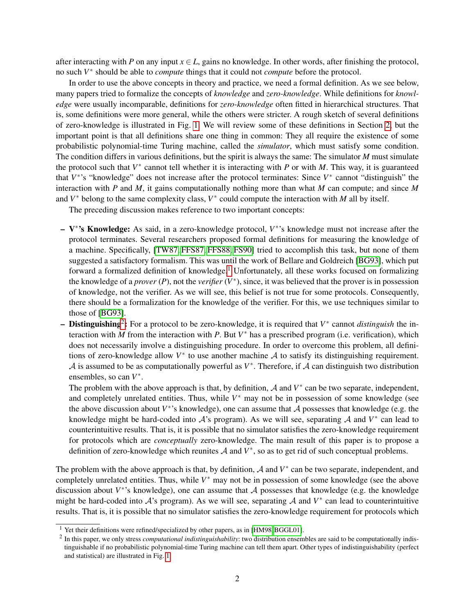after interacting with *P* on any input  $x \in L$ , gains no knowledge. In other words, after finishing the protocol, no such *V* ∗ should be able to *compute* things that it could not *compute* before the protocol.

In order to use the above concepts in theory and practice, we need a formal definition. As we see below, many papers tried to formalize the concepts of *knowledge* and *zero-knowledge*. While definitions for *knowledge* were usually incomparable, definitions for *zero-knowledge* often fitted in hierarchical structures. That is, some definitions were more general, while the others were stricter. A rough sketch of several definitions of zero-knowledge is illustrated in Fig. [1.](#page-2-0) We will review some of these definitions in Section [2,](#page-4-0) but the important point is that all definitions share one thing in common: They all require the existence of some probabilistic polynomial-time Turing machine, called the *simulator*, which must satisfy some condition. The condition differs in various definitions, but the spirit is always the same: The simulator *M* must simulate the protocol such that  $V^*$  cannot tell whether it is interacting with *P* or with *M*. This way, it is guaranteed that *V*<sup>\*</sup>'s "knowledge" does not increase after the protocol terminates: Since *V*<sup>\*</sup> cannot "distinguish" the interaction with *P* and *M*, it gains computationally nothing more than what *M* can compute; and since *M* and  $V^*$  belong to the same complexity class,  $V^*$  could compute the interaction with *M* all by itself.

The preceding discussion makes reference to two important concepts:

- V ∗ 's Knowledge: As said, in a zero-knowledge protocol, *V* ∗ 's knowledge must not increase after the protocol terminates. Several researchers proposed formal definitions for measuring the knowledge of a machine. Specifically, [\[TW87,](#page-26-0) [FFS87,](#page-24-0) [FFS88,](#page-24-1) [FS90\]](#page-25-1) tried to accomplish this task, but none of them suggested a satisfactory formalism. This was until the work of Bellare and Goldreich [\[BG93\]](#page-23-0), which put forward a formalized definition of knowledge.<sup>[1](#page-1-0)</sup> Unfortunately, all these works focused on formalizing the knowledge of a *prover*  $(P)$ , not the *verifier*  $(V^*)$ , since, it was believed that the prover is in possession of knowledge, not the verifier. As we will see, this belief is not true for some protocols. Consequently, there should be a formalization for the knowledge of the verifier. For this, we use techniques similar to those of [\[BG93\]](#page-23-0).
- Distinguishing[2](#page-1-1) : For a protocol to be zero-knowledge, it is required that *V* ∗ cannot *distinguish* the interaction with *M* from the interaction with *P*. But  $V^*$  has a prescribed program (i.e. verification), which does not necessarily involve a distinguishing procedure. In order to overcome this problem, all definitions of zero-knowledge allow  $V^*$  to use another machine  $A$  to satisfy its distinguishing requirement.  $A$  is assumed to be as computationally powerful as  $V^*$ . Therefore, if  $A$  can distinguish two distribution ensembles, so can  $V^*$ .

The problem with the above approach is that, by definition,  $A$  and  $V^*$  can be two separate, independent, and completely unrelated entities. Thus, while  $V^*$  may not be in possession of some knowledge (see the above discussion about  $V^*$ 's knowledge), one can assume that  $A$  possesses that knowledge (e.g. the knowledge might be hard-coded into  $A$ 's program). As we will see, separating  $A$  and  $V^*$  can lead to counterintuitive results. That is, it is possible that no simulator satisfies the zero-knowledge requirement for protocols which are *conceptually* zero-knowledge. The main result of this paper is to propose a definition of zero-knowledge which reunites  $A$  and  $V^*$ , so as to get rid of such conceptual problems.

The problem with the above approach is that, by definition,  $A$  and  $V^*$  can be two separate, independent, and completely unrelated entities. Thus, while  $V^*$  may not be in possession of some knowledge (see the above discussion about  $V^*$ 's knowledge), one can assume that  $A$  possesses that knowledge (e.g. the knowledge might be hard-coded into  $A$ 's program). As we will see, separating  $A$  and  $V^*$  can lead to counterintuitive results. That is, it is possible that no simulator satisfies the zero-knowledge requirement for protocols which

<span id="page-1-0"></span><sup>&</sup>lt;sup>1</sup> Yet their definitions were refined/specialized by other papers, as in [\[HM98,](#page-25-2) [BGGL01\]](#page-23-1).

<span id="page-1-1"></span><sup>2</sup> In this paper, we only stress *computational indistinguishability*: two distribution ensembles are said to be computationally indistinguishable if no probabilistic polynomial-time Turing machine can tell them apart. Other types of indistinguishability (perfect and statistical) are illustrated in Fig. [1.](#page-2-0)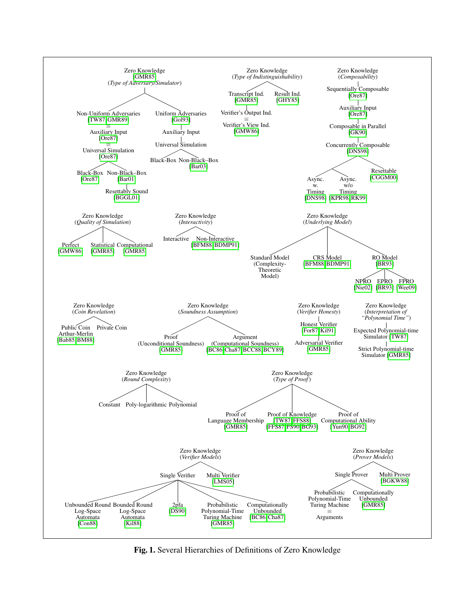<span id="page-2-0"></span>

Fig. 1. Several Hierarchies of Definitions of Zero Knowledge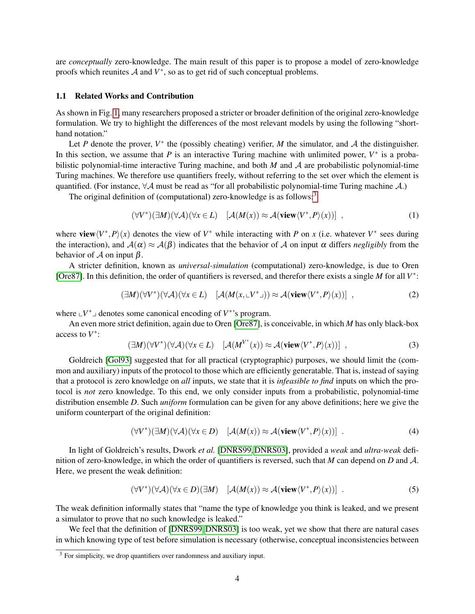are *conceptually* zero-knowledge. The main result of this paper is to propose a model of zero-knowledge proofs which reunites  $A$  and  $V^*$ , so as to get rid of such conceptual problems.

## 1.1 Related Works and Contribution

As shown in Fig. [1,](#page-2-0) many researchers proposed a stricter or broader definition of the original zero-knowledge formulation. We try to highlight the differences of the most relevant models by using the following "shorthand notation."

Let *P* denote the prover,  $V^*$  the (possibly cheating) verifier, *M* the simulator, and *A* the distinguisher. In this section, we assume that  $P$  is an interactive Turing machine with unlimited power,  $V^*$  is a probabilistic polynomial-time interactive Turing machine, and both *M* and A are probabilistic polynomial-time Turing machines. We therefore use quantifiers freely, without referring to the set over which the element is quantified. (For instance,  $\forall A$  must be read as "for all probabilistic polynomial-time Turing machine A.)

The original definition of (computational) zero-knowledge is as follows:<sup>[3](#page-3-0)</sup>

$$
(\forall V^*)(\exists M)(\forall \mathcal{A})(\forall x \in L) \quad [\mathcal{A}(M(x)) \approx \mathcal{A}(\mathbf{view}\langle V^*, P \rangle(x))] \quad , \tag{1}
$$

where view $\langle V^*, P \rangle(x)$  denotes the view of  $V^*$  while interacting with *P* on *x* (i.e. whatever  $V^*$  sees during the interaction), and  $A(\alpha) \approx A(\beta)$  indicates that the behavior of A on input  $\alpha$  differs *negligibly* from the behavior of  $A$  on input  $\beta$ .

A stricter definition, known as *universal-simulation* (computational) zero-knowledge, is due to Oren [\[Ore87\]](#page-25-4). In this definition, the order of quantifiers is reversed, and therefor there exists a single *M* for all *V*<sup>\*</sup>:

$$
(\exists M)(\forall V^*)(\forall \mathcal{A})(\forall x \in L) \quad [\mathcal{A}(M(x, \llcorner V^* \lrcorner)) \approx \mathcal{A}(\mathbf{view}\langle V^*, P \rangle(x))] \quad , \tag{2}
$$

where  $\mathbf{L}V^*$  denotes some canonical encoding of  $V^*$ 's program.

An even more strict definition, again due to Oren [\[Ore87\]](#page-25-4), is conceivable, in which *M* has only black-box access to *V* ∗ :

$$
(\exists M)(\forall V^*)(\forall \mathcal{A})(\forall x \in L) \quad [\mathcal{A}(M^{V^*}(x)) \approx \mathcal{A}(\mathbf{view}\langle V^*, P \rangle(x))] \quad , \tag{3}
$$

Goldreich [\[Gol93\]](#page-25-5) suggested that for all practical (cryptographic) purposes, we should limit the (common and auxiliary) inputs of the protocol to those which are efficiently generatable. That is, instead of saying that a protocol is zero knowledge on *all* inputs, we state that it is *infeasible to find* inputs on which the protocol is *not* zero knowledge. To this end, we only consider inputs from a probabilistic, polynomial-time distribution ensemble *D*. Such *uniform* formulation can be given for any above definitions; here we give the uniform counterpart of the original definition:

$$
(\forall V^*)(\exists M)(\forall \mathcal{A})(\forall x \in D) \quad [\mathcal{A}(M(x)) \approx \mathcal{A}(\mathbf{view}\langle V^*, P \rangle(x))]
$$
 (4)

In light of Goldreich's results, Dwork *et al.* [\[DNRS99,](#page-24-9) [DNRS03\]](#page-24-10), provided a *weak* and *ultra-weak* definition of zero-knowledge, in which the order of quantifiers is reversed, such that *M* can depend on *D* and A. Here, we present the weak definition:

$$
(\forall V^*)(\forall \mathcal{A})(\forall x \in D)(\exists M) \quad [\mathcal{A}(M(x)) \approx \mathcal{A}(\mathbf{view}\langle V^*, P \rangle(x))]
$$
 (5)

The weak definition informally states that "name the type of knowledge you think is leaked, and we present a simulator to prove that no such knowledge is leaked."

We feel that the definition of [\[DNRS99,](#page-24-9) [DNRS03\]](#page-24-10) is too weak, yet we show that there are natural cases in which knowing type of test before simulation is necessary (otherwise, conceptual inconsistencies between

<span id="page-3-0"></span> $3$  For simplicity, we drop quantifiers over randomness and auxiliary input.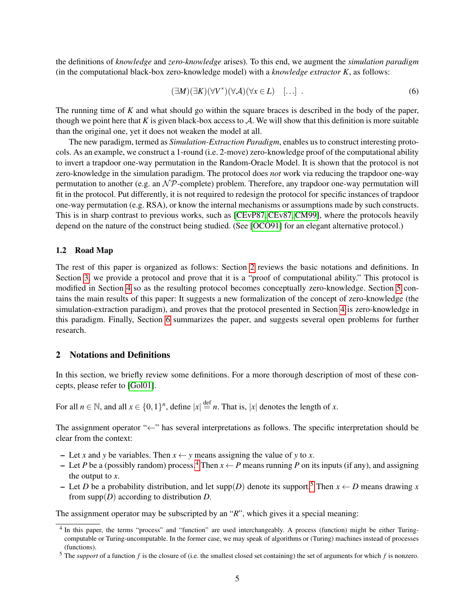the definitions of *knowledge* and *zero-knowledge* arises). To this end, we augment the *simulation paradigm* (in the computational black-box zero-knowledge model) with a *knowledge extractor K*, as follows:

$$
(\exists M)(\exists K)(\forall V^*)(\forall \mathcal{A})(\forall x \in L) \quad [\dots] \tag{6}
$$

The running time of *K* and what should go within the square braces is described in the body of the paper, though we point here that  $K$  is given black-box access to  $A$ . We will show that this definition is more suitable than the original one, yet it does not weaken the model at all.

The new paradigm, termed as *Simulation-Extraction Paradigm*, enables us to construct interesting protocols. As an example, we construct a 1-round (i.e. 2-move) zero-knowledge proof of the computational ability to invert a trapdoor one-way permutation in the Random-Oracle Model. It is shown that the protocol is not zero-knowledge in the simulation paradigm. The protocol does *not* work via reducing the trapdoor one-way permutation to another (e.g. an  $\mathcal{NP}$ -complete) problem. Therefore, any trapdoor one-way permutation will fit in the protocol. Put differently, it is not required to redesign the protocol for specific instances of trapdoor one-way permutation (e.g. RSA), or know the internal mechanisms or assumptions made by such constructs. This is in sharp contrast to previous works, such as [\[CEvP87,](#page-24-11) [CEv87,](#page-24-12) [CM99\]](#page-24-13), where the protocols heavily depend on the nature of the construct being studied. (See [\[OCO91\]](#page-25-14) for an elegant alternative protocol.)

#### 1.2 Road Map

The rest of this paper is organized as follows: Section [2](#page-4-0) reviews the basic notations and definitions. In Section [3,](#page-9-0) we provide a protocol and prove that it is a "proof of computational ability." This protocol is modified in Section [4](#page-12-0) so as the resulting protocol becomes conceptually zero-knowledge. Section [5](#page-17-0) contains the main results of this paper: It suggests a new formalization of the concept of zero-knowledge (the simulation-extraction paradigm), and proves that the protocol presented in Section [4](#page-12-0) is zero-knowledge in this paradigm. Finally, Section [6](#page-22-0) summarizes the paper, and suggests several open problems for further research.

# <span id="page-4-0"></span>2 Notations and Definitions

In this section, we briefly review some definitions. For a more thorough description of most of these concepts, please refer to [\[Gol01\]](#page-25-15).

For all  $n \in \mathbb{N}$ , and all  $x \in \{0,1\}^n$ , define  $|x| \stackrel{\text{def}}{=} n$ . That is,  $|x|$  denotes the length of *x*.

The assignment operator "←" has several interpretations as follows. The specific interpretation should be clear from the context:

- Let *x* and *y* be variables. Then *x* ← *y* means assigning the value of *y* to *x*.
- Let *P* be a (possibly random) process.<sup>[4](#page-4-1)</sup> Then  $x \leftarrow P$  means running *P* on its inputs (if any), and assigning the output to *x*.
- Let *D* be a probability distribution, and let supp(*D*) denote its support.<sup>[5](#page-4-2)</sup> Then  $x \leftarrow D$  means drawing *x* from supp(*D*) according to distribution *D*.

The assignment operator may be subscripted by an "*R*", which gives it a special meaning:

<span id="page-4-1"></span><sup>&</sup>lt;sup>4</sup> In this paper, the terms "process" and "function" are used interchangeably. A process (function) might be either Turingcomputable or Turing-uncomputable. In the former case, we may speak of algorithms or (Turing) machines instead of processes (functions).

<span id="page-4-2"></span><sup>5</sup> The *support* of a function *f* is the closure of (i.e. the smallest closed set containing) the set of arguments for which *f* is nonzero.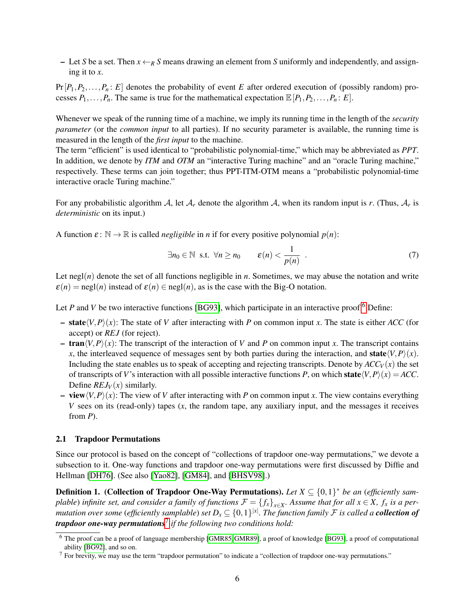– Let *S* be a set. Then  $x \leftarrow_R S$  means drawing an element from *S* uniformly and independently, and assigning it to *x*.

 $Pr[P_1, P_2, \ldots, P_n : E]$  denotes the probability of event *E* after ordered execution of (possibly random) processes  $P_1, \ldots, P_n$ . The same is true for the mathematical expectation  $\mathbb{E}[P_1, P_2, \ldots, P_n : E]$ .

Whenever we speak of the running time of a machine, we imply its running time in the length of the *security parameter* (or the *common input* to all parties). If no security parameter is available, the running time is measured in the length of the *first input* to the machine.

The term "efficient" is used identical to "probabilistic polynomial-time," which may be abbreviated as *PPT*. In addition, we denote by *ITM* and *OTM* an "interactive Turing machine" and an "oracle Turing machine," respectively. These terms can join together; thus PPT-ITM-OTM means a "probabilistic polynomial-time interactive oracle Turing machine."

For any probabilistic algorithm A, let  $A_r$  denote the algorithm A, when its random input is r. (Thus,  $A_r$  is *deterministic* on its input.)

A function  $\varepsilon$ :  $\mathbb{N} \to \mathbb{R}$  is called *negligible* in *n* if for every positive polynomial  $p(n)$ :

$$
\exists n_0 \in \mathbb{N} \text{ s.t. } \forall n \ge n_0 \qquad \varepsilon(n) < \frac{1}{p(n)} \tag{7}
$$

Let negl(*n*) denote the set of all functions negligible in *n*. Sometimes, we may abuse the notation and write  $\varepsilon(n) = \text{negl}(n)$  instead of  $\varepsilon(n) \in \text{negl}(n)$ , as is the case with the Big-O notation.

Let *P* and *V* be two interactive functions [\[BG93\]](#page-23-0), which participate in an interactive proof.<sup>[6](#page-5-0)</sup> Define:

- $-$  **state** $\langle V, P \rangle(x)$ : The state of *V* after interacting with *P* on common input *x*. The state is either *ACC* (for accept) or *REJ* (for reject).
- $-$  tran $\langle V, P \rangle(x)$ : The transcript of the interaction of *V* and *P* on common input *x*. The transcript contains *x*, the interleaved sequence of messages sent by both parties during the interaction, and state $\langle V, P \rangle(x)$ . Including the state enables us to speak of accepting and rejecting transcripts. Denote by  $ACC_V(x)$  the set of transcripts of *V*'s interaction with all possible interactive functions *P*, on which state $\langle V, P \rangle(x) = ACC$ . Define  $REJ_V(x)$  similarly.
- $-$  **view** $\langle V, P \rangle(x)$ : The view of *V* after interacting with *P* on common input *x*. The view contains everything *V* sees on its (read-only) tapes (*x*, the random tape, any auxiliary input, and the messages it receives from *P*).

# 2.1 Trapdoor Permutations

Since our protocol is based on the concept of "collections of trapdoor one-way permutations," we devote a subsection to it. One-way functions and trapdoor one-way permutations were first discussed by Diffie and Hellman [\[DH76\]](#page-24-14). (See also [\[Yao82\]](#page-26-4), [\[GM84\]](#page-25-16), and [\[BHSV98\]](#page-23-13).)

<span id="page-5-2"></span>**Definition 1.** (Collection of Trapdoor One-Way Permutations). Let  $X \subseteq \{0,1\}^*$  be an (efficiently sam*plable*) *infinite set, and consider a family of functions*  $\mathcal{F} = \{f_x\}_{x \in X}$ . Assume that for all  $x \in X$ ,  $f_x$  is a permutation over some (efficiently samplable) set  $D_x\subseteq \{0,1\}^{|x|}.$  The function family  ${\cal F}$  is called a **collection of** *trapdoor one-way permutations*[7](#page-5-1) *if the following two conditions hold:*

<span id="page-5-0"></span><sup>6</sup> The proof can be a proof of language membership [\[GMR85,](#page-25-0) [GMR89\]](#page-25-3), a proof of knowledge [\[BG93\]](#page-23-0), a proof of computational ability [\[BG92\]](#page-23-11), and so on.

<span id="page-5-1"></span> $<sup>7</sup>$  For brevity, we may use the term "trapdoor permutation" to indicate a "collection of trapdoor one-way permutations."</sup>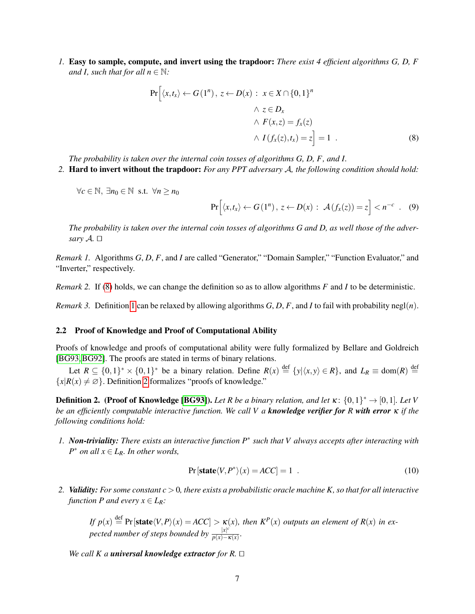*1.* Easy to sample, compute, and invert using the trapdoor: *There exist 4 efficient algorithms G, D, F and I, such that for all*  $n \in \mathbb{N}$ *:* 

$$
\Pr\left[\langle x, t_x \rangle \leftarrow G(1^n), z \leftarrow D(x) : x \in X \cap \{0, 1\}^n
$$
  

$$
\wedge z \in D_x
$$
  

$$
\wedge F(x, z) = f_x(z)
$$
  

$$
\wedge I(f_x(z), t_x) = z\right] = 1 .
$$
 (8)

*The probability is taken over the internal coin tosses of algorithms G, D, F, and I.*

*2.* Hard to invert without the trapdoor: *For any PPT adversary* A*, the following condition should hold:*

 $∀c ∈ ℕ, ∃n₀ ∈ ℕ$  s.t.  $∀n ≥ n₀$ 

<span id="page-6-0"></span>
$$
\Pr\Big[\langle x,t_x\rangle \leftarrow G(1^n)\,,\,z \leftarrow D(x):\,\,\mathcal{A}\left(f_x(z)\right)=z\Big] < n^{-c} \quad . \quad (9)
$$

*The probability is taken over the internal coin tosses of algorithms G and D, as well those of the adversary*  $A$ *.*  $\Box$ 

*Remark 1.* Algorithms *G*, *D*, *F*, and *I* are called "Generator," "Domain Sampler," "Function Evaluator," and "Inverter," respectively.

*Remark 2.* If [\(8\)](#page-6-0) holds, we can change the definition so as to allow algorithms *F* and *I* to be deterministic.

*Remark 3.* Definition [1](#page-5-2) can be relaxed by allowing algorithms  $G, D, F$ , and  $I$  to fail with probability negl(n).

#### 2.2 Proof of Knowledge and Proof of Computational Ability

Proofs of knowledge and proofs of computational ability were fully formalized by Bellare and Goldreich [\[BG93,](#page-23-0)[BG92\]](#page-23-11). The proofs are stated in terms of binary relations.

Let  $R \subseteq \{0,1\}^* \times \{0,1\}^*$  be a binary relation. Define  $R(x) \stackrel{\text{def}}{=} \{y | \langle x, y \rangle \in R\}$ , and  $L_R \equiv \text{dom}(R) \stackrel{\text{def}}{=}$  ${x \mid R(x) \neq \emptyset}$ . Definition [2](#page-6-1) formalizes "proofs of knowledge."

<span id="page-6-1"></span>**Definition 2.** (Proof of Knowledge [\[BG93\]](#page-23-0)). Let R be a binary relation, and let  $\kappa$ :  $\{0,1\}^* \to [0,1]$ . Let V *be an efficiently computable interactive function. We call V a knowledge verifier for R with error* κ *if the following conditions hold:*

*1. Non-triviality: There exists an interactive function P*<sup>∗</sup> *such that V always accepts after interacting with P* <sup>∗</sup> *on all x* ∈ *LR. In other words,*

$$
Pr[state\langle V, P^*\rangle(x) = ACC] = 1.
$$
 (10)

*2. Validity: For some constant c* > 0*, there exists a probabilistic oracle machine K, so that for all interactive function P and every*  $x \in L_R$ *:* 

*If*  $p(x) \stackrel{\text{def}}{=}$  Pr  $[\text{state}\langle V, P \rangle(x) = ACC] > \kappa(x)$ , then  $K^P(x)$  outputs an element of  $R(x)$  in ex*pected number of steps bounded by*  $\frac{|x|^c}{p(x)-1}$  $\frac{|x|}{p(x)-\kappa(x)}$ .

*We call K a universal knowledge extractor for R.*  $\Box$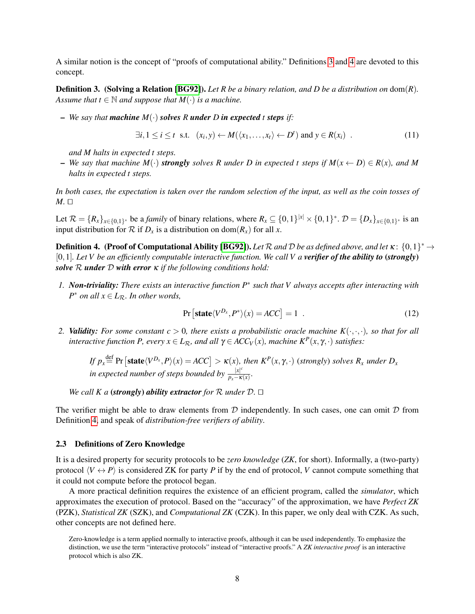A similar notion is the concept of "proofs of computational ability." Definitions [3](#page-7-0) and [4](#page-7-1) are devoted to this concept.

<span id="page-7-0"></span>Definition 3. (Solving a Relation [\[BG92\]](#page-23-11)). *Let R be a binary relation, and D be a distribution on* dom(*R*)*. Assume that*  $t \in \mathbb{N}$  *and suppose that*  $M(\cdot)$  *is a machine.* 

 $-$  *We say that machine*  $M(\cdot)$  *solves R under D in expected t steps if*:

$$
\exists i, 1 \leq i \leq t \text{ s.t. } (x_i, y) \leftarrow M(\langle x_1, \dots, x_t \rangle \leftarrow D^t) \text{ and } y \in R(x_i) .
$$
 (11)

*and M halts in expected t steps.*

 $-$  *We say that machine*  $M(\cdot)$  *strongly solves* R under D in expected t steps if  $M(x \leftarrow D) \in R(x)$ *, and* M *halts in expected t steps.*

*In both cases, the expectation is taken over the random selection of the input, as well as the coin tosses of*  $M.$   $\square$ 

Let  $\mathcal{R} = \{R_x\}_{x \in \{0,1\}^*}$  be a *family* of binary relations, where  $R_x \subseteq \{0,1\}^{|x|} \times \{0,1\}^*$ .  $\mathcal{D} = \{D_x\}_{x \in \{0,1\}^*}$  is an input distribution for  $\mathcal R$  if  $D_x$  is a distribution on dom( $R_x$ ) for all *x*.

<span id="page-7-1"></span>**Definition 4.** (Proof of Computational Ability [\[BG92\]](#page-23-11)). Let  $R$  and  $D$  be as defined above, and let  $\kappa$ :  $\{0,1\}^*$   $\rightarrow$  $[0,1]$ *. Let V be an efficiently computable interactive function. We call V a verifier of the ability to* (*strongly*) *solve* R *under* D *with error* κ *if the following conditions hold:*

*1. Non-triviality: There exists an interactive function P*<sup>∗</sup> *such that V always accepts after interacting with*  $P^*$  *on all*  $x \in L_R$ *. In other words,* 

$$
\Pr\left[\text{state}\langle V^{D_x}, P^*\rangle(x) = ACC\right] = 1\tag{12}
$$

2. *Validity: For some constant c* **> 0***, there exists a probabilistic oracle machine*  $K(\cdot, \cdot, \cdot)$ *, so that for all interactive function P, every*  $x \in L_{\mathcal{R}}$ *, and all*  $\gamma \in ACC_V(x)$ *, machine*  $K^P(x, \gamma, \cdot)$  *satisfies:* 

 $\int f$   $p_x \stackrel{\text{def}}{=}$  Pr  $[\text{state}\langle V^{D_x}, P \rangle(x) = ACC] > \kappa(x)$ *, then*  $K^P(x, \gamma, \cdot)$  (*strongly*) *solves*  $R_x$  *under*  $D_x$ *in expected number of steps bounded by*  $\frac{|x|^c}{n-x}$  $\frac{|x|}{p_x - \kappa(x)}$ .

*We call K a (strongly) ability extractor for*  $\mathcal R$  *under*  $\mathcal D$ *.*  $\Box$ 

The verifier might be able to draw elements from  $D$  independently. In such cases, one can omit  $D$  from Definition [4,](#page-7-1) and speak of *distribution-free verifiers of ability*.

## 2.3 Definitions of Zero Knowledge

It is a desired property for security protocols to be *zero knowledge* (*ZK*, for short). Informally, a (two-party) protocol  $\langle V \leftrightarrow P \rangle$  is considered ZK for party *P* if by the end of protocol, *V* cannot compute something that it could not compute before the protocol began.

A more practical definition requires the existence of an efficient program, called the *simulator*, which approximates the execution of protocol. Based on the "accuracy" of the approximation, we have *Perfect ZK* (PZK), *Statistical ZK* (SZK), and *Computational ZK* (CZK). In this paper, we only deal with CZK. As such, other concepts are not defined here.

Zero-knowledge is a term applied normally to interactive proofs, although it can be used independently. To emphasize the distinction, we use the term "interactive protocols" instead of "interactive proofs." A *ZK interactive proof* is an interactive protocol which is also ZK.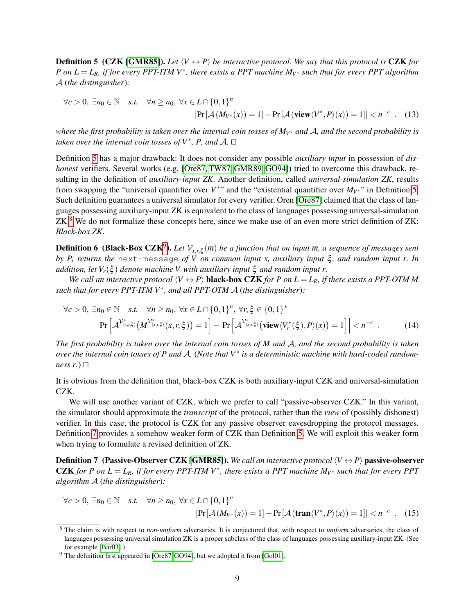<span id="page-8-0"></span>**Definition 5 (CZK [\[GMR85\]](#page-25-0)).** Let  $\langle V \leftrightarrow P \rangle$  be interactive protocol. We say that this protocol is CZK for *P* on  $L = L_R$ , if for every PPT-ITM V<sup>\*</sup>, there exists a PPT machine  $M_{V^*}$  such that for every PPT algorithm A (*the distinguisher*)*:*

$$
\forall c > 0, \exists n_0 \in \mathbb{N} \quad s.t. \quad \forall n \ge n_0, \ \forall x \in L \cap \{0, 1\}^n
$$

$$
|\Pr[\mathcal{A}(M_{V^*}(x)) = 1] - \Pr[\mathcal{A}(\mathbf{view}\langle V^*, P \rangle(x)) = 1]| < n^{-c} \quad . \quad (13)
$$

*where the first probability is taken over the internal coin tosses of MV*<sup>∗</sup> *and* A*, and the second probability is taken over the internal coin tosses of*  $V^*$ *, P, and A.* □

Definition [5](#page-8-0) has a major drawback: It does not consider any possible *auxiliary input* in possession of *dishonest* verifiers. Several works (e.g. [\[Ore87,](#page-25-4) [TW87,](#page-26-0) [GMR89,](#page-25-3) [GO94\]](#page-25-17)) tried to overcome this drawback, resulting in the definition of *auxiliary-input ZK*. Another definition, called *universal-simulation ZK*, results from swapping the "universal quantifier over  $V^*$ " and the "existential quantifier over  $M_{V^*}$ " in Definition [5.](#page-8-0) Such definition guarantees a universal simulator for every verifier. Oren [\[Ore87\]](#page-25-4) claimed that the class of languages possessing auxiliary-input ZK is equivalent to the class of languages possessing universal-simulation ZK.<sup>[8](#page-8-1)</sup> We do not formalize these concepts here, since we make use of an even more strict definition of ZK: *Black-box ZK*.

<span id="page-8-4"></span>**Definition 6** (Black-Box CZK<sup>[9](#page-8-2)</sup>). Let  $V_{x,r,\xi}(\overline{m})$  be a function that on input  $\overline{m}$ , a sequence of messages sent *by P, returns the* next-message *of V on common input x, auxiliary input*  $ξ$ *, and random input r. In addition, let*  $V_r(\xi)$  *denote machine V with auxiliary input*  $\xi$  *and random input r.* 

*We call an interactive protocol*  $\langle V \leftrightarrow P \rangle$  **black-box CZK** *for P on L* = *L*<sub>*R*</sub>*, if there exists a PPT-OTM M such that for every PPT-ITM V*<sup>∗</sup> *, and all PPT-OTM* A (*the distinguisher*)*:*

$$
\forall c > 0, \exists n_0 \in \mathbb{N} \quad s.t. \quad \forall n \ge n_0, \ \forall x \in L \cap \{0, 1\}^n, \ \forall r, \xi \in \{0, 1\}^*
$$
\n
$$
\left| \Pr \left[ \mathcal{A}^{\mathcal{V}^*_{(x, r, \xi)}} \left( M^{\mathcal{V}^*_{(x, r, \xi)}}(x, r, \xi) \right) = 1 \right] - \Pr \left[ \mathcal{A}^{\mathcal{V}^*_{(x, r, \xi)}} \left( \text{view} \langle V^*_{r}(\xi), P \rangle(x) \right) = 1 \right] \right| < n^{-c}. \tag{14}
$$

*The first probability is taken over the internal coin tosses of M and* A*, and the second probability is taken over the internal coin tosses of P and* A*.* (*Note that V*<sup>∗</sup> *is a deterministic machine with hard-coded randomness r.*)  $\Box$ 

It is obvious from the definition that, black-box CZK is both auxiliary-input CZK and universal-simulation CZK.

We will use another variant of CZK, which we prefer to call "passive-observer CZK." In this variant, the simulator should approximate the *transcript* of the protocol, rather than the *view* of (possibly dishonest) verifier. In this case, the protocol is CZK for any passive observer eavesdropping the protocol messages. Definition [7](#page-8-3) provides a somehow weaker form of CZK than Definition [5.](#page-8-0) We will exploit this weaker form when trying to formulate a revised definition of ZK.

<span id="page-8-3"></span>**Definition 7** (Passive-Observer CZK [\[GMR85\]](#page-25-0)). *We call an interactive protocol*  $\langle V \leftrightarrow P \rangle$  passive-observer **CZK** for P on  $L = L_R$ , if for every PPT-ITM V<sup>\*</sup>, there exists a PPT machine  $M_V^*$  such that for every PPT *algorithm* A (*the distinguisher*)*:*

$$
\forall c > 0, \exists n_0 \in \mathbb{N} \quad s.t. \quad \forall n \ge n_0, \ \forall x \in L \cap \{0, 1\}^n
$$

$$
|\Pr[\mathcal{A}(M_{V^*}(x)) = 1] - \Pr[\mathcal{A}(\mathbf{tran}\langle V^*, P \rangle(x)) = 1]| < n^{-c} \quad (15)
$$

<span id="page-8-1"></span><sup>8</sup> The claim is with respect to *non-uniform* adversaries. It is conjectured that, with respect to *uniform* adversaries, the class of languages possessing universal simulation ZK is a proper subclass of the class of languages possessing auxiliary-input ZK. (See for example [\[Bar03\]](#page-23-3).)

<span id="page-8-2"></span> $9$  The definition first appeared in [\[Ore87,](#page-25-4) [GO94\]](#page-25-17), but we adopted it from [\[Gol01\]](#page-25-15).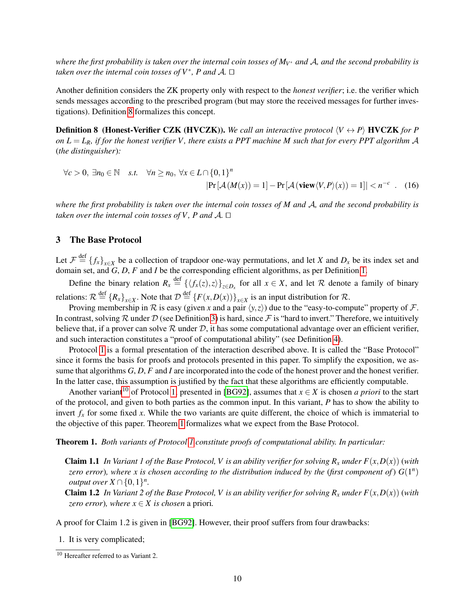*where the first probability is taken over the internal coin tosses of MV*<sup>∗</sup> *and* A*, and the second probability is taken over the internal coin tosses of*  $V^*$ *, P and A.* □

Another definition considers the ZK property only with respect to the *honest verifier*; i.e. the verifier which sends messages according to the prescribed program (but may store the received messages for further investigations). Definition [8](#page-9-1) formalizes this concept.

<span id="page-9-1"></span>**Definition 8** (Honest-Verifier CZK (HVCZK)). We call an interactive protocol  $\langle V \leftrightarrow P \rangle$  HVCZK for P *on L* =  $L_R$ *, if for the honest verifier V, there exists a PPT machine M such that for every PPT algorithm A* (*the distinguisher*)*:*

$$
\forall c > 0, \exists n_0 \in \mathbb{N} \quad s.t. \quad \forall n \ge n_0, \ \forall x \in L \cap \{0, 1\}^n
$$

$$
|\Pr[\mathcal{A}(M(x)) = 1] - \Pr[\mathcal{A}(\mathbf{view}\langle V, P \rangle(x)) = 1]| < n^{-c} \quad (16)
$$

*where the first probability is taken over the internal coin tosses of M and* A*, and the second probability is taken over the internal coin tosses of V, P and A.*  $\Box$ 

# <span id="page-9-0"></span>3 The Base Protocol

Let  $\mathcal{F} \stackrel{\text{def}}{=} \{f_x\}_{x \in X}$  be a collection of trapdoor one-way permutations, and let *X* and  $D_x$  be its index set and domain set, and *G*, *D*, *F* and *I* be the corresponding efficient algorithms, as per Definition [1.](#page-5-2)

Define the binary relation  $R_x \stackrel{\text{def}}{=} {\{\langle f_x(z), z \rangle\}}_{z \in D_x}$  for all  $x \in X$ , and let R denote a family of binary relations:  $\mathcal{R} \stackrel{\text{def}}{=} \{R_x\}_{x \in X}$ . Note that  $\mathcal{D} \stackrel{\text{def}}{=} \{F(x, D(x))\}_{x \in X}$  is an input distribution for  $\mathcal{R}$ .

Proving membership in  $R$  is easy (given *x* and a pair  $\langle y, z \rangle$ ) due to the "easy-to-compute" property of  $\mathcal{F}$ . In contrast, solving R under D (see Definition [3\)](#page-7-0) is hard, since F is "hard to invert." Therefore, we intuitively believe that, if a prover can solve  $R$  under  $D$ , it has some computational advantage over an efficient verifier, and such interaction constitutes a "proof of computational ability" (see Definition [4\)](#page-7-1).

Protocol [1](#page-2-0) is a formal presentation of the interaction described above. It is called the "Base Protocol" since it forms the basis for proofs and protocols presented in this paper. To simplify the exposition, we assume that algorithms *G*, *D*, *F* and *I* are incorporated into the code of the honest prover and the honest verifier. In the latter case, this assumption is justified by the fact that these algorithms are efficiently computable.

Another variant<sup>[10](#page-9-2)</sup> of Protocol [1,](#page-2-0) presented in [\[BG92\]](#page-23-11), assumes that  $x \in X$  is chosen *a priori* to the start of the protocol, and given to both parties as the common input. In this variant, *P* has to show the ability to invert  $f<sub>x</sub>$  for some fixed *x*. While the two variants are quite different, the choice of which is immaterial to the objective of this paper. Theorem [1](#page-9-3) formalizes what we expect from the Base Protocol.

<span id="page-9-3"></span>Theorem 1. *Both variants of Protocol [1](#page-2-0) constitute proofs of computational ability. In particular:*

- **Claim 1.1** In Variant 1 of the Base Protocol, V is an ability verifier for solving  $R_x$  under  $F(x, D(x))$  (with *zero error*), where x is chosen according to the distribution induced by the (first component of)  $G(1^n)$ *output over*  $X \cap \{0,1\}^n$ .
- **Claim 1.2** In Variant 2 of the Base Protocol, V is an ability verifier for solving  $R<sub>x</sub>$  *under*  $F(x, D(x))$  (with *zero error*)*, where*  $x \in X$  *is chosen* a priori.

A proof for Claim 1.2 is given in [\[BG92\]](#page-23-11). However, their proof suffers from four drawbacks:

1. It is very complicated;

<span id="page-9-2"></span><sup>10</sup> Hereafter referred to as Variant 2.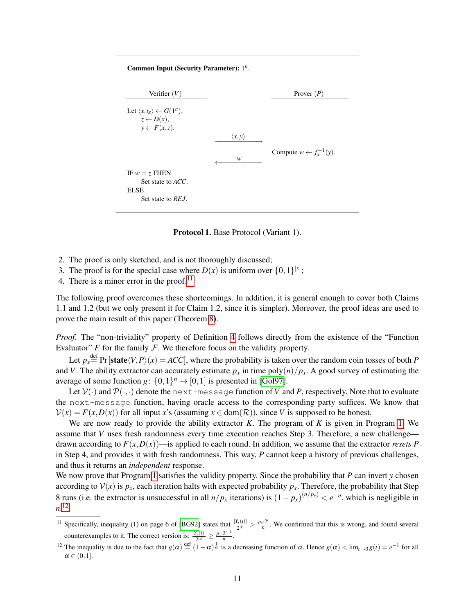

Protocol 1. Base Protocol (Variant 1).

- 2. The proof is only sketched, and is not thoroughly discussed;
- 3. The proof is for the special case where  $D(x)$  is uniform over  $\{0,1\}^{|x|}$ ;

4. There is a minor error in the proof.<sup>[11](#page-10-0)</sup>

The following proof overcomes these shortcomings. In addition, it is general enough to cover both Claims 1.1 and 1.2 (but we only present it for Claim 1.2, since it is simpler). Moreover, the proof ideas are used to prove the main result of this paper (Theorem [8\)](#page-20-0).

*Proof.* The "non-triviality" property of Definition [4](#page-7-1) follows directly from the existence of the "Function" Evaluator"  $F$  for the family  $F$ . We therefore focus on the validity property.

Let  $p_x \stackrel{\text{def}}{=} Pr[\text{state}\langle V, P \rangle(x) = ACC],$  where the probability is taken over the random coin tosses of both *P* and *V*. The ability extractor can accurately estimate  $p_x$  in time poly $(n)/p_x$ . A good survey of estimating the average of some function  $g: \{0,1\}^n \to [0,1]$  is presented in [\[Gol97\]](#page-25-18).

Let  $V(\cdot)$  and  $\mathcal{P}(\cdot,\cdot)$  denote the next-message function of *V* and *P*, respectively. Note that to evaluate the next-message function, having oracle access to the corresponding party suffices. We know that  $V(x) = F(x, D(x))$  for all input *x*'s (assuming  $x \in \text{dom}(\mathcal{R})$ ), since *V* is supposed to be honest.

We are now ready to provide the ability extractor *K*. The program of *K* is given in Program [1.](#page-11-0) We assume that *V* uses fresh randomness every time execution reaches Step 3. Therefore, a new challenge drawn according to  $F(x, D(x))$ —is applied to each round. In addition, we assume that the extractor *resets* P in Step 4, and provides it with fresh randomness. This way, *P* cannot keep a history of previous challenges, and thus it returns an *independent* response.

We now prove that Program [1](#page-11-0) satisfies the validity property. Since the probability that *P* can invert *y* chosen according to  $V(x)$  is  $p_x$ , each iteration halts with expected probability  $p_x$ . Therefore, the probability that Step 8 runs (i.e. the extractor is unsuccessful in all  $n/p_x$  iterations) is  $(1-p_x)^{(n/p_x)} < e^{-n}$ , which is negligible in *n*. [12](#page-10-1)

<span id="page-10-0"></span><sup>&</sup>lt;sup>11</sup> Specifically, inequality (1) on page 6 of [\[BG92\]](#page-23-11) states that  $\frac{|Y_x(i)|}{2^{|x|}} > \frac{p_x \cdot 2^i}{n}$  $\frac{c^2}{n}$ . We confirmed that this is wrong, and found several counterexamples to it. The correct version is:  $\frac{|Y_x(i)|}{2^{|x|}} \ge \frac{p_x \cdot 2^{i-1}}{n}$  $\frac{2^{n}}{n}$ .

<span id="page-10-1"></span><sup>&</sup>lt;sup>12</sup> The inequality is due to the fact that  $g(\alpha) \stackrel{\text{def}}{=} (1-\alpha)^{\frac{1}{\alpha}}$  is a decreasing function of  $\alpha$ . Hence  $g(\alpha) < \lim_{t \to 0} g(t) = e^{-1}$  for all  $\alpha \in (0,1].$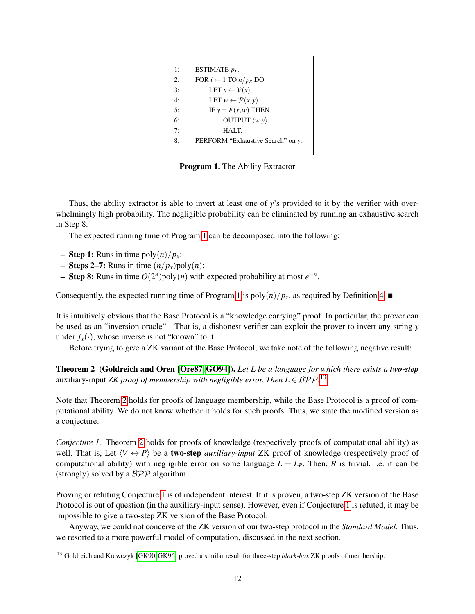<span id="page-11-0"></span>

| 1: | ESTIMATE $p_x$ .                       |
|----|----------------------------------------|
| 2: | FOR $i \leftarrow 1$ TO $n/p_x$ DO     |
| 3: | LET $y \leftarrow \mathcal{V}(x)$ .    |
| 4: | LET $w \leftarrow \mathcal{P}(x, y)$ . |
| 5: | IF $y = F(x, w)$ THEN                  |
| 6: | OUTPUT $\langle w, y \rangle$ .        |
| 7: | HALT.                                  |
| 8: | PERFORM "Exhaustive Search" on y.      |
|    |                                        |

Program 1. The Ability Extractor

Thus, the ability extractor is able to invert at least one of *y*'s provided to it by the verifier with overwhelmingly high probability. The negligible probability can be eliminated by running an exhaustive search in Step 8.

The expected running time of Program [1](#page-11-0) can be decomposed into the following:

- $-$  **Step 1:** Runs in time poly $\frac{n}{n}$ ;
- $-$  **Steps 2–7:** Runs in time  $(n/p_x)$ poly $(n)$ ;
- Step 8: Runs in time  $O(2^n)$  poly(*n*) with expected probability at most  $e^{-n}$ .

Consequently, the expected running time of Program [1](#page-11-0) is  $poly(n)/p_x$ , as required by Definition [4.](#page-7-1)

It is intuitively obvious that the Base Protocol is a "knowledge carrying" proof. In particular, the prover can be used as an "inversion oracle"—That is, a dishonest verifier can exploit the prover to invert any string *y* under  $f_x(\cdot)$ , whose inverse is not "known" to it.

Before trying to give a ZK variant of the Base Protocol, we take note of the following negative result:

<span id="page-11-2"></span>Theorem 2 (Goldreich and Oren [\[Ore87,](#page-25-4) [GO94\]](#page-25-17)). *Let L be a language for which there exists a two-step* auxiliary-input *ZK proof of membership with negligible error. Then*  $L \in \mathcal{BPP}.^{13}$  $L \in \mathcal{BPP}.^{13}$  $L \in \mathcal{BPP}.^{13}$ 

Note that Theorem [2](#page-11-2) holds for proofs of language membership, while the Base Protocol is a proof of computational ability. We do not know whether it holds for such proofs. Thus, we state the modified version as a conjecture.

<span id="page-11-3"></span>*Conjecture 1.* Theorem [2](#page-11-2) holds for proofs of knowledge (respectively proofs of computational ability) as well. That is, Let  $\langle V \leftrightarrow P \rangle$  be a **two-step** *auxiliary-input* ZK proof of knowledge (respectively proof of computational ability) with negligible error on some language  $L = L_R$ . Then, R is trivial, i.e. it can be (strongly) solved by a  $BPP$  algorithm.

Proving or refuting Conjecture [1](#page-11-3) is of independent interest. If it is proven, a two-step ZK version of the Base Protocol is out of question (in the auxiliary-input sense). However, even if Conjecture [1](#page-11-3) is refuted, it may be impossible to give a two-step ZK version of the Base Protocol.

Anyway, we could not conceive of the ZK version of our two-step protocol in the *Standard Model*. Thus, we resorted to a more powerful model of computation, discussed in the next section.

<span id="page-11-1"></span><sup>13</sup> Goldreich and Krawczyk [\[GK90,](#page-25-8) [GK96\]](#page-25-19) proved a similar result for three-step *black-box* ZK proofs of membership.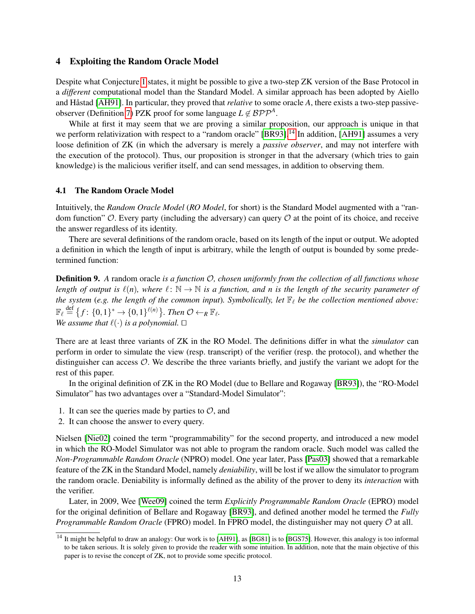## <span id="page-12-0"></span>4 Exploiting the Random Oracle Model

Despite what Conjecture [1](#page-11-3) states, it might be possible to give a two-step ZK version of the Base Protocol in a *different* computational model than the Standard Model. A similar approach has been adopted by Aiello and Håstad [\[AH91\]](#page-23-14). In particular, they proved that *relative* to some oracle A, there exists a two-step passive-observer (Definition [7\)](#page-8-3) PZK proof for some language  $L \notin BPP^A$ .

While at first it may seem that we are proving a similar proposition, our approach is unique in that we perform relativization with respect to a "random oracle" [\[BR93\]](#page-24-4).<sup>[14](#page-12-1)</sup> In addition, [\[AH91\]](#page-23-14) assumes a very loose definition of ZK (in which the adversary is merely a *passive observer*, and may not interfere with the execution of the protocol). Thus, our proposition is stronger in that the adversary (which tries to gain knowledge) is the malicious verifier itself, and can send messages, in addition to observing them.

#### 4.1 The Random Oracle Model

Intuitively, the *Random Oracle Model* (*RO Model*, for short) is the Standard Model augmented with a "random function"  $\mathcal O$ . Every party (including the adversary) can query  $\mathcal O$  at the point of its choice, and receive the answer regardless of its identity.

There are several definitions of the random oracle, based on its length of the input or output. We adopted a definition in which the length of input is arbitrary, while the length of output is bounded by some predetermined function:

Definition 9. *A* random oracle *is a function* O*, chosen uniformly from the collection of all functions whose length of output is*  $\ell(n)$ *, where*  $\ell: \mathbb{N} \to \mathbb{N}$  *is a function, and n is the length of the security parameter of the system* (*e.g. the length of the common input*)*. Symbolically, let*  $\mathbb{F}_{\ell}$  *be the collection mentioned above:*  $\mathbb{F}_{\ell} \stackrel{\text{def}}{=} \big\{f \colon \{0,1\}^* \to \{0,1\}^{\ell(n)}\big\}$ . Then  $\mathcal{O} \leftarrow_R \mathbb{F}_{\ell}$ . *We assume that*  $\ell(\cdot)$  *is a polynomial.*  $\square$ 

There are at least three variants of ZK in the RO Model. The definitions differ in what the *simulator* can perform in order to simulate the view (resp. transcript) of the verifier (resp. the protocol), and whether the distinguisher can access O. We describe the three variants briefly, and justify the variant we adopt for the rest of this paper.

In the original definition of ZK in the RO Model (due to Bellare and Rogaway [\[BR93\]](#page-24-4)), the "RO-Model Simulator" has two advantages over a "Standard-Model Simulator":

- 1. It can see the queries made by parties to  $\mathcal{O}$ , and
- 2. It can choose the answer to every query.

Nielsen [\[Nie02\]](#page-25-10) coined the term "programmability" for the second property, and introduced a new model in which the RO-Model Simulator was not able to program the random oracle. Such model was called the *Non-Programmable Random Oracle* (NPRO) model. One year later, Pass [\[Pas03\]](#page-26-5) showed that a remarkable feature of the ZK in the Standard Model, namely *deniability*, will be lost if we allow the simulator to program the random oracle. Deniability is informally defined as the ability of the prover to deny its *interaction* with the verifier.

Later, in 2009, Wee [\[Wee09\]](#page-26-2) coined the term *Explicitly Programmable Random Oracle* (EPRO) model for the original definition of Bellare and Rogaway [\[BR93\]](#page-24-4), and defined another model he termed the *Fully Programmable Random Oracle* (FPRO) model. In FPRO model, the distinguisher may not query  $\mathcal O$  at all.

<span id="page-12-1"></span><sup>&</sup>lt;sup>14</sup> It might be helpful to draw an analogy: Our work is to [\[AH91\]](#page-23-14), as [\[BG81\]](#page-23-15) is to [\[BGS75\]](#page-23-16). However, this analogy is too informal to be taken serious. It is solely given to provide the reader with some intuition. In addition, note that the main objective of this paper is to revise the concept of ZK, not to provide some specific protocol.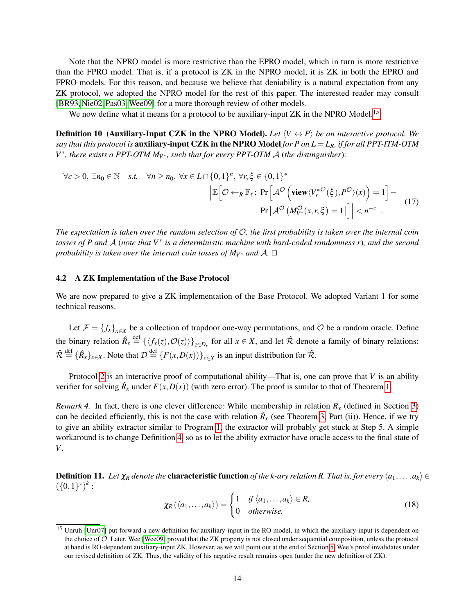Note that the NPRO model is more restrictive than the EPRO model, which in turn is more restrictive than the FPRO model. That is, if a protocol is ZK in the NPRO model, it is ZK in both the EPRO and FPRO models. For this reason, and because we believe that deniability is a natural expectation from any ZK protocol, we adopted the NPRO model for the rest of this paper. The interested reader may consult [\[BR93,](#page-24-4) [Nie02,](#page-25-10) [Pas03,](#page-26-5)[Wee09\]](#page-26-2) for a more thorough review of other models.

We now define what it means for a protocol to be auxiliary-input ZK in the NPRO Model.<sup>[15](#page-13-0)</sup>

**Definition 10 (Auxiliary-Input CZK in the NPRO Model).** Let  $\langle V \leftrightarrow P \rangle$  be an interactive protocol. We *say that this protocol is* auxiliary-input CZK in the NPRO Model *for P on L* = *LR, if for all PPT-ITM-OTM V*<sup>∗</sup>, there exists a PPT-OTM  $M<sub>V</sub>∗$ , such that for every PPT-OTM A (the distinguisher):

$$
\forall c > 0, \exists n_0 \in \mathbb{N} \quad s.t. \quad \forall n \ge n_0, \forall x \in L \cap \{0, 1\}^n, \forall r, \xi \in \{0, 1\}^* \\
\mathbb{E}\left[\mathcal{O} \leftarrow_R \mathbb{F}_{\ell}: \Pr\left[\mathcal{A}^{\mathcal{O}}\left(\text{view}\langle V_r^{* \mathcal{O}}(\xi), P^{\mathcal{O}}\rangle(x)\right) = 1\right] - \Pr\left[\mathcal{A}^{\mathcal{O}}\left(M_{V^*}^{\mathcal{O}}(x, r, \xi) = 1\right]\right] \le n^{-c} \quad .
$$
\n(17)

*The expectation is taken over the random selection of* O*, the first probability is taken over the internal coin tosses of P and* A (*note that V*<sup>∗</sup> *is a deterministic machine with hard-coded randomness r*)*, and the second probability is taken over the internal coin tosses of*  $M_V^*$  *and A.*  $\Box$ 

## 4.2 A ZK Implementation of the Base Protocol

We are now prepared to give a ZK implementation of the Base Protocol. We adopted Variant 1 for some technical reasons.

Let  $\mathcal{F} = \{f_x\}_{x \in X}$  be a collection of trapdoor one-way permutations, and  $\mathcal{O}$  be a random oracle. Define the binary relation  $\hat{R}_x \stackrel{\text{def}}{=} {\{\langle f_x(z), \mathcal{O}(z)\rangle\}}_{z \in D_x}$  for all  $x \in X$ , and let  $\hat{\mathcal{R}}$  denote a family of binary relations:  $\hat{\mathcal{R}} \stackrel{\text{def}}{=} {\{\hat{R}_x\}_{x \in X}}$ . Note that  $\mathcal{D} \stackrel{\text{def}}{=} {\{F(x, D(x))\}_{x \in X}}$  is an input distribution for  $\hat{\mathcal{R}}$ .

Protocol [2](#page-14-0) is an interactive proof of computational ability—That is, one can prove that *V* is an ability verifier for solving  $\hat{R}_x$  under  $F(x,D(x))$  (with zero error). The proof is similar to that of Theorem [1.](#page-9-3)

*Remark 4.* In fact, there is one clever difference: While membership in relation  $R<sub>x</sub>$  (defined in Section [3\)](#page-9-0) can be decided efficiently, this is not the case with relation  $\hat{R}_x$  (see Theorem [3,](#page-14-1) Part (ii)). Hence, if we try to give an ability extractor similar to Program [1,](#page-11-0) the extractor will probably get stuck at Step 5. A simple workaround is to change Definition [4,](#page-7-1) so as to let the ability extractor have oracle access to the final state of *V*.

**Definition 11.** Let  $\chi_R$  denote the **characteristic function** of the k-ary relation R. That is, for every  $\langle a_1,\ldots,a_k\rangle \in$  $({0,1}^*)^k$ :

$$
\chi_R(\langle a_1,\ldots,a_k\rangle) = \begin{cases} 1 & \text{if } \langle a_1,\ldots,a_k\rangle \in R, \\ 0 & \text{otherwise.} \end{cases}
$$
 (18)

<span id="page-13-0"></span><sup>&</sup>lt;sup>15</sup> Unruh [\[Unr07\]](#page-26-6) put forward a new definition for auxiliary-input in the RO model, in which the auxiliary-input is dependent on the choice of O. Later, Wee [\[Wee09\]](#page-26-2) proved that the ZK property is not closed under sequential composition, unless the protocol at hand is RO-dependent auxiliary-input ZK. However, as we will point out at the end of Section [5,](#page-17-0) Wee's proof invalidates under our revised definition of ZK. Thus, the validity of his negative result remains open (under the new definition of ZK).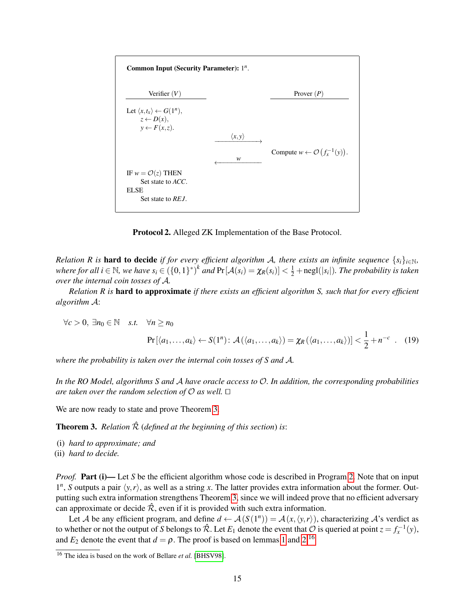<span id="page-14-0"></span>

Protocol 2. Alleged ZK Implementation of the Base Protocol.

*Relation R is* **hard to decide** *if for every efficient algorithm A, there exists an infinite sequence*  $\{s_i\}_{i\in\mathbb{N}}$ *,* where for all  $i \in \mathbb{N}$ , we have  $s_i \in (\{0,1\}^*)^k$  and  $Pr[\mathcal{A}(s_i) = \chi_R(s_i)] < \frac{1}{2} + negl(|s_i|)$ . The probability is taken *over the internal coin tosses of* A*.*

*Relation R is* hard to approximate *if there exists an efficient algorithm S, such that for every efficient algorithm* A:

$$
\forall c > 0, \exists n_0 \in \mathbb{N} \quad s.t. \quad \forall n \ge n_0
$$
  
Pr[ $\langle a_1, \dots, a_k \rangle \leftarrow S(1^n)$ :  $\mathcal{A}(\langle a_1, \dots, a_k \rangle) = \chi_R(\langle a_1, \dots, a_k \rangle)] < \frac{1}{2} + n^{-c}$ . (19)

*where the probability is taken over the internal coin tosses of S and* A*.*

*In the RO Model, algorithms S and* A *have oracle access to* O*. In addition, the corresponding probabilities are taken over the random selection of*  $\mathcal O$  *as well.*  $\Box$ 

<span id="page-14-1"></span>We are now ready to state and prove Theorem [3.](#page-14-1)

**Theorem 3.** *Relation*  $\hat{\mathcal{R}}$  *(defined at the beginning of this section) is*:

(i) *hard to approximate; and*

(ii) *hard to decide.*

*Proof.* Part (i)— Let *S* be the efficient algorithm whose code is described in Program [2.](#page-15-0) Note that on input  $1^n$ , *S* outputs a pair  $\langle y, r \rangle$ , as well as a string *x*. The latter provides extra information about the former. Outputting such extra information strengthens Theorem [3,](#page-14-1) since we will indeed prove that no efficient adversary can approximate or decide  $\hat{\mathcal{R}}$ , even if it is provided with such extra information.

Let A be any efficient program, and define  $d \leftarrow \mathcal{A}(S(1^n)) = \mathcal{A}(x, \langle y, r \rangle)$ , characterizing A's verdict as to whether or not the output of *S* belongs to  $\hat{\mathcal{R}}$ . Let  $E_1$  denote the event that  $\hat{\mathcal{O}}$  is queried at point  $z = f_x^{-1}(y)$ , and  $E_2$  denote the event that  $d = \rho$ . The proof is based on lemmas [1](#page-14-2) and [2.](#page-16-0)<sup>[16](#page-14-3)</sup>

<span id="page-14-3"></span><span id="page-14-2"></span><sup>16</sup> The idea is based on the work of Bellare *et al.* [\[BHSV98\]](#page-23-13).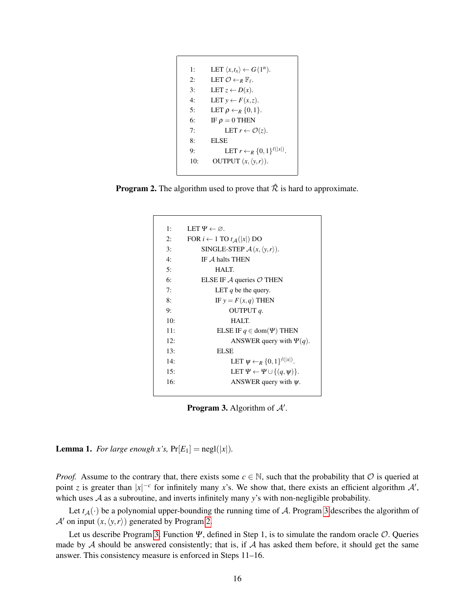```
1: LET \langle x, t_x \rangle \leftarrow G(1^n).
2: LET \mathcal{O} \leftarrow_R \mathbb{F}_{\ell}.
3: LET z \leftarrow D(x).
4: LET y \leftarrow F(x, z).
5: LET \rho \leftarrow_R \{0,1\}.6: IF \rho = 0 THEN
7: LET r \leftarrow \mathcal{O}(z).
8: ELSE
9: LET r \leftarrow_R \{0,1\}^{\ell(|x|)}.
10: OUTPUT (x, \langle y, r \rangle).
```
<span id="page-15-1"></span>**Program 2.** The algorithm used to prove that  $\hat{\mathcal{R}}$  is hard to approximate.

| 1:  | LET $\Psi \leftarrow \varnothing$ .                  |
|-----|------------------------------------------------------|
| 2:  | FOR $i \leftarrow 1$ TO $t_A( x )$ DO                |
| 3:  | SINGLE-STEP $\mathcal{A}(x, \langle y, r \rangle)$ . |
| 4:  | IF $A$ halts THEN                                    |
| 5:  | HALT.                                                |
| 6:  | ELSE IF $\mathcal A$ queries $\mathcal O$ THEN       |
| 7:  | LET q be the query.                                  |
| 8:  | IF $y = F(x,q)$ THEN                                 |
| 9:  | OUTPUT <i>a</i> .                                    |
| 10: | HALT.                                                |
| 11: | ELSE IF $q \in \text{dom}(\Psi)$ THEN                |
| 12: | ANSWER query with $\Psi(q)$ .                        |
| 13: | <b>ELSE</b>                                          |
| 14: | LET $\psi \leftarrow_R \{0,1\}^{\ell( x )}$ .        |
| 15: | LET $\Psi \leftarrow \Psi \cup \{(q, \psi)\}.$       |
| 16: | ANSWER query with $\psi$ .                           |
|     |                                                      |

**Program 3.** Algorithm of  $A'$ .

**Lemma 1.** *For large enough x's*,  $Pr[E_1] = negl(|x|)$ *.* 

*Proof.* Assume to the contrary that, there exists some  $c \in \mathbb{N}$ , such that the probability that  $\mathcal O$  is queried at point *z* is greater than  $|x|^{-c}$  for infinitely many *x*'s. We show that, there exists an efficient algorithm  $\mathcal{A}'$ , which uses A as a subroutine, and inverts infinitely many *y*'s with non-negligible probability.

Let  $t_A(\cdot)$  be a polynomial upper-bounding the running time of A. Program [3](#page-15-1) describes the algorithm of  $\mathcal{A}'$  on input  $(x, \langle y, r \rangle)$  generated by Program [2.](#page-15-0)

Let us describe Program [3.](#page-15-1) Function  $\Psi$ , defined in Step 1, is to simulate the random oracle  $\mathcal{O}$ . Queries made by  $A$  should be answered consistently; that is, if  $A$  has asked them before, it should get the same answer. This consistency measure is enforced in Steps 11–16.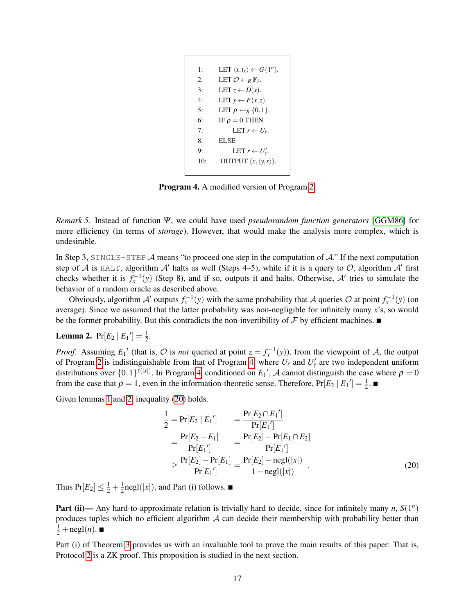```
1: LET \langle x, t_x \rangle \leftarrow G(1^n).
2: LET \mathcal{O} \leftarrow_R \mathbb{F}_{\ell}.
3: LET z \leftarrow D(x).
4: LET y \leftarrow F(x, z).
5: LET \rho \leftarrow_R \{0,1\}.6: IF \rho = 0 THEN
7: LET r \leftarrow U_{\ell}.
8: ELSE
9: LET r \leftarrow U'_\ell.
10: OUTPUT (x, \langle y, r \rangle).
```
Program 4. A modified version of Program [2.](#page-15-0)

*Remark 5.* Instead of function Ψ, we could have used *pseudorandom function generators* [\[GGM86\]](#page-25-20) for more efficiency (in terms of *storage*). However, that would make the analysis more complex, which is undesirable.

In Step 3, SINGLE-STEP  $\mathcal A$  means "to proceed one step in the computation of  $\mathcal A$ ." If the next computation step of A is HALT, algorithm A' halts as well (Steps 4–5), while if it is a query to  $\mathcal{O}$ , algorithm A' first checks whether it is  $f_x^{-1}(y)$  (Step 8), and if so, outputs it and halts. Otherwise, A' tries to simulate the behavior of a random oracle as described above.

Obviously, algorithm  $A'$  outputs  $f_x^{-1}(y)$  with the same probability that A queries  $O$  at point  $f_x^{-1}(y)$  (on average). Since we assumed that the latter probability was non-negligible for infinitely many *x*'s, so would be the former probability. But this contradicts the non-invertibility of  $\mathcal F$  by efficient machines.

# <span id="page-16-0"></span>**Lemma 2.**  $Pr[E_2 | E_1'] = \frac{1}{2}$ .

*Proof.* Assuming  $E_1'$  (that is,  $\mathcal O$  is *not* queried at point  $z = f_x^{-1}(y)$ ), from the viewpoint of  $\mathcal A$ , the output of Program [2](#page-15-0) is indistinguishable from that of Program [4,](#page-16-1) where  $U_\ell$  and  $U'_\ell$  are two independent uniform distributions over  $\{0,1\}^{\ell(|x|)}$ . In Program [4,](#page-16-1) conditioned on  $E_1'$ , A cannot distinguish the case where  $\rho = 0$ from the case that  $\rho = 1$ , even in the information-theoretic sense. Therefore,  $Pr[E_2 | E_1'] = \frac{1}{2}$ .

Given lemmas [1](#page-14-2) and [2,](#page-16-0) inequality [\(20\)](#page-16-2) holds.

<span id="page-16-2"></span>
$$
\frac{1}{2} = \Pr[E_2 | E_1'] = \frac{\Pr[E_2 \cap E_1']}{\Pr[E_1']} \n= \frac{\Pr[E_2 - E_1]}{\Pr[E_1']} = \frac{\Pr[E_2] - \Pr[E_1 \cap E_2]}{\Pr[E_1']} \n\ge \frac{\Pr[E_2] - \Pr[E_1]}{\Pr[E_1']} = \frac{\Pr[E_2] - \text{negl}(|x|)}{1 - \text{negl}(|x|)} .
$$
\n(20)

Thus  $Pr[E_2] \leq \frac{1}{2} + \frac{1}{2}$  $\frac{1}{2}$ negl(|x|), and Part (i) follows.

Part (ii)— Any hard-to-approximate relation is trivially hard to decide, since for infinitely many  $n$ ,  $S(1^n)$ produces tuples which no efficient algorithm  $A$  can decide their membership with probability better than  $\frac{1}{2} + \operatorname{negl}(n)$ .

Part (i) of Theorem [3](#page-14-1) provides us with an invaluable tool to prove the main results of this paper: That is, Protocol [2](#page-14-0) is a ZK proof. This proposition is studied in the next section.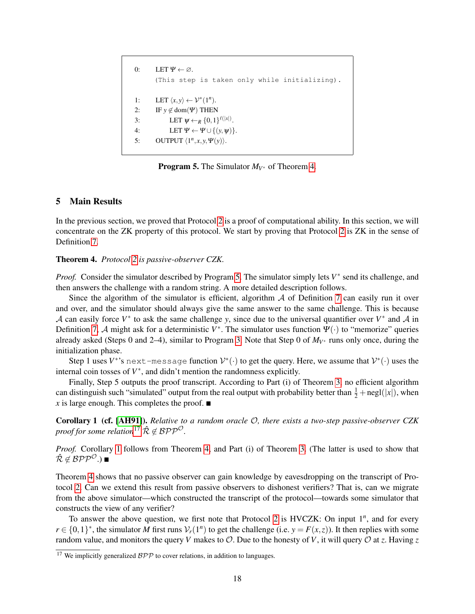```
0: LET \Psi \leftarrow \varnothing.
         (This step is taken only while initializing).
1: LET \langle x, y \rangle \leftarrow \mathcal{V}^*(1^n).
2: IF y \notin \text{dom}(\Psi) THEN
3: LET \psi \leftarrow_R \{0,1\}^{\ell(|x|)}.
4: LET \Psi \leftarrow \Psi \cup \{(y, \psi)\}.5: OUTPUT \langle 1^n, x, y, \Psi(y) \rangle.
```
**Program 5.** The Simulator  $M_{V^*}$  of Theorem [4.](#page-17-1)

# <span id="page-17-0"></span>5 Main Results

In the previous section, we proved that Protocol [2](#page-14-0) is a proof of computational ability. In this section, we will concentrate on the ZK property of this protocol. We start by proving that Protocol [2](#page-14-0) is ZK in the sense of Definition [7.](#page-8-3)

## <span id="page-17-1"></span>Theorem 4. *Protocol [2](#page-14-0) is passive-observer CZK.*

*Proof.* Consider the simulator described by Program [5.](#page-17-2) The simulator simply lets  $V^*$  send its challenge, and then answers the challenge with a random string. A more detailed description follows.

Since the algorithm of the simulator is efficient, algorithm  $\mathcal A$  of Definition [7](#page-8-3) can easily run it over and over, and the simulator should always give the same answer to the same challenge. This is because A can easily force  $V^*$  to ask the same challenge *y*, since due to the universal quantifier over  $V^*$  and A in Definition [7,](#page-8-3) A might ask for a deterministic  $V^*$ . The simulator uses function  $\Psi(\cdot)$  to "memorize" queries already asked (Steps 0 and 2–4), similar to Program [3.](#page-15-1) Note that Step 0 of  $M_{V^*}$  runs only once, during the initialization phase.

Step 1 uses  $V^*$ 's next-message function  $\mathcal{V}^*(\cdot)$  to get the query. Here, we assume that  $\mathcal{V}^*(\cdot)$  uses the internal coin tosses of  $V^*$ , and didn't mention the randomness explicitly.

Finally, Step 5 outputs the proof transcript. According to Part (i) of Theorem [3,](#page-14-1) no efficient algorithm can distinguish such "simulated" output from the real output with probability better than  $\frac{1}{2} + \text{negl}(|x|)$ , when  $\overline{x}$  is large enough. This completes the proof.  $\blacksquare$ 

<span id="page-17-4"></span>Corollary 1 (cf. [\[AH91\]](#page-23-14)). *Relative to a random oracle* O*, there exists a two-step passive-observer CZK proof for some relation*<sup>[17](#page-17-3)</sup>  $\hat{\mathcal{R}} \notin \mathcal{BPP}^{\mathcal{O}}$ .

*Proof.* Corollary [1](#page-17-4) follows from Theorem [4,](#page-17-1) and Part (i) of Theorem [3.](#page-14-1) (The latter is used to show that  $\hat{\mathcal{R}} \notin \mathcal{BPP}^{\mathcal{O}}$ .) ■

Theorem [4](#page-17-1) shows that no passive observer can gain knowledge by eavesdropping on the transcript of Protocol [2.](#page-14-0) Can we extend this result from passive observers to dishonest verifiers? That is, can we migrate from the above simulator—which constructed the transcript of the protocol—towards some simulator that constructs the view of any verifier?

To answer the above question, we first note that Protocol [2](#page-14-0) is HVCZK: On input 1*<sup>n</sup>* , and for every *r* ∈ {0, 1}<sup>\*</sup>, the simulator *M* first runs  $V_r(1^n)$  to get the challenge (i.e. *y* = *F*(*x*,*z*)). It then replies with some random value, and monitors the query *V* makes to  $\mathcal{O}$ . Due to the honesty of *V*, it will query  $\mathcal{O}$  at *z*. Having *z* 

<span id="page-17-3"></span><sup>&</sup>lt;sup>17</sup> We implicitly generalized  $BPP$  to cover relations, in addition to languages.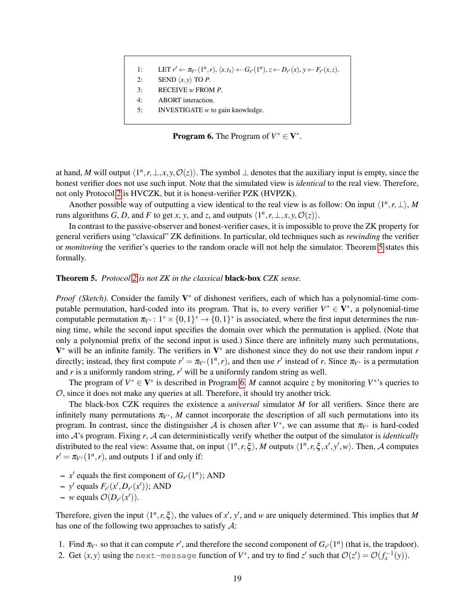<span id="page-18-1"></span>1: 
$$
\text{LET } r' \leftarrow \pi_{V^*}(1^n,r), \langle x,t_x \rangle \leftarrow G_{r'}(1^n), z \leftarrow D_{r'}(x), y \leftarrow F_{r'}(x,z).
$$

- 2: **SEND**  $\langle x, y \rangle$  **TO** *P***.**
- 3: RECEIVE *w* FROM *P*.
- 4: ABORT interaction.
- 5: INVESTIGATE *w* to gain knowledge.

**Program 6.** The Program of  $V^* \in V^*$ .

at hand, M will output  $\langle 1^n, r, \perp, x, y, \mathcal{O}(z) \rangle$ . The symbol  $\perp$  denotes that the auxiliary input is empty, since the honest verifier does not use such input. Note that the simulated view is *identical* to the real view. Therefore, not only Protocol [2](#page-14-0) is HVCZK, but it is honest-verifier PZK (HVPZK).

Another possible way of outputting a view identical to the real view is as follow: On input  $\langle 1^n, r, \perp \rangle$ , *M* runs algorithms *G*, *D*, and *F* to get *x*, *y*, and *z*, and outputs  $\langle 1^n, r, \bot, x, y, \mathcal{O}(z) \rangle$ .

In contrast to the passive-observer and honest-verifier cases, it is impossible to prove the ZK property for general verifiers using "classical" ZK definitions. In particular, old techniques such as *rewinding* the verifier or *monitoring* the verifier's queries to the random oracle will not help the simulator. Theorem [5](#page-18-0) states this formally.

# <span id="page-18-0"></span>Theorem 5. *Protocol [2](#page-14-0) is not ZK in the classical* black-box *CZK sense.*

*Proof* (Sketch). Consider the family V<sup>\*</sup> of dishonest verifiers, each of which has a polynomial-time computable permutation, hard-coded into its program. That is, to every verifier  $V^* \in V^*$ , a polynomial-time computable permutation  $\pi_{V^*}: 1^* \times \{0,1\}^* \to \{0,1\}^*$  is associated, where the first input determines the running time, while the second input specifies the domain over which the permutation is applied. (Note that only a polynomial prefix of the second input is used.) Since there are infinitely many such permutations,  $V^*$  will be an infinite family. The verifiers in  $V^*$  are dishonest since they do not use their random input *r* directly; instead, they first compute  $r' = \pi_{V^*}(1^n, r)$ , and then use r' instead of r. Since  $\pi_{V^*}$  is a permutation and  $r$  is a uniformly random string,  $r'$  will be a uniformly random string as well.

The program of  $V^* \in V^*$  is described in Program [6.](#page-18-1) *M* cannot acquire *z* by monitoring  $V^*$ 's queries to  $\mathcal{O}$ , since it does not make any queries at all. Therefore, it should try another trick.

The black-box CZK requires the existence a *universal* simulator *M* for all verifiers. Since there are infinitely many permutations  $\pi_{V^*}$ , *M* cannot incorporate the description of all such permutations into its program. In contrast, since the distinguisher A is chosen after  $V^*$ , we can assume that  $\pi_{V^*}$  is hard-coded into A's program. Fixing *r*, A can deterministically verify whether the output of the simulator is *identically* distributed to the real view: Assume that, on input  $\langle 1^n, r, \xi \rangle$ , *M* outputs  $\langle 1^n, r, \xi, x', y', w \rangle$ . Then, *A* computes  $r' = \pi_{V^*}(1^n, r)$ , and outputs 1 if and only if:

- $\sim$  *x'* equals the first component of *G*<sub>*r'*</sub>(1<sup>*n*</sup>); AND
- $-y'$  equals  $F_{r'}(x', D_{r'}(x'))$ ; AND
- $w$  equals  $\mathcal{O}(D_{r'}(x'))$ .

Therefore, given the input  $\langle 1^n, r, \xi \rangle$ , the values of *x'*, *y'*, and *w* are uniquely determined. This implies that *M* has one of the following two approaches to satisfy  $\mathcal{A}$ :

- 1. Find  $\pi_{V^*}$  so that it can compute *r'*, and therefore the second component of  $G_r(1^n)$  (that is, the trapdoor).
- 2. Get  $\langle x, y \rangle$  using the next-message function of  $V^*$ , and try to find  $z'$  such that  $\mathcal{O}(z') = \mathcal{O}(f_x^{-1}(y))$ .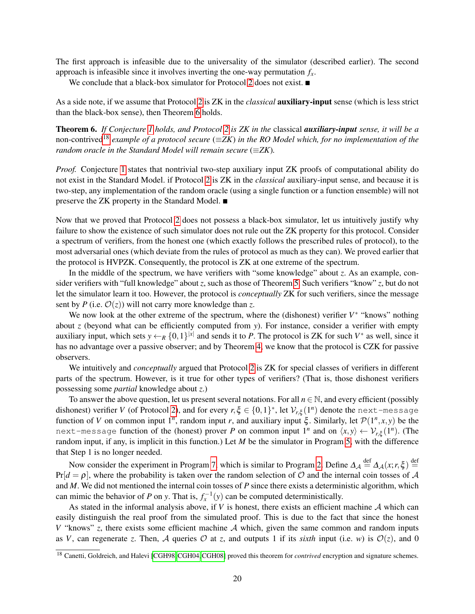The first approach is infeasible due to the universality of the simulator (described earlier). The second approach is infeasible since it involves inverting the one-way permutation  $f<sub>x</sub>$ .

<span id="page-19-0"></span>We conclude that a black-box simulator for Protocol [2](#page-14-0) does not exist.

As a side note, if we assume that Protocol [2](#page-14-0) is ZK in the *classical* auxiliary-input sense (which is less strict than the black-box sense), then Theorem [6](#page-19-0) holds.

Theorem 6. *If Conjecture [1](#page-11-3) holds, and Protocol [2](#page-14-0) is ZK in the* classical *auxiliary-input sense, it will be a* non-contrived[18](#page-19-1) *example of a protocol secure* (≡*ZK*) *in the RO Model which, for no implementation of the random oracle in the Standard Model will remain secure* ( $\equiv ZK$ ).

*Proof.* Conjecture [1](#page-11-3) states that nontrivial two-step auxiliary input ZK proofs of computational ability do not exist in the Standard Model. if Protocol [2](#page-14-0) is ZK in the *classical* auxiliary-input sense, and because it is two-step, any implementation of the random oracle (using a single function or a function ensemble) will not preserve the ZK property in the Standard Model. ■

Now that we proved that Protocol [2](#page-14-0) does not possess a black-box simulator, let us intuitively justify why failure to show the existence of such simulator does not rule out the ZK property for this protocol. Consider a spectrum of verifiers, from the honest one (which exactly follows the prescribed rules of protocol), to the most adversarial ones (which deviate from the rules of protocol as much as they can). We proved earlier that the protocol is HVPZK. Consequently, the protocol is ZK at one extreme of the spectrum.

In the middle of the spectrum, we have verifiers with "some knowledge" about *z*. As an example, consider verifiers with "full knowledge" about *z*, such as those of Theorem [5.](#page-18-0) Such verifiers "know" *z*, but do not let the simulator learn it too. However, the protocol is *conceptually* ZK for such verifiers, since the message sent by *P* (i.e.  $\mathcal{O}(z)$ ) will not carry more knowledge than *z*.

We now look at the other extreme of the spectrum, where the (dishonest) verifier  $V^*$  "knows" nothing about *z* (beyond what can be efficiently computed from *y*). For instance, consider a verifier with empty auxiliary input, which sets  $y \leftarrow_R \{0,1\}^{|x|}$  and sends it to P. The protocol is ZK for such  $V^*$  as well, since it has no advantage over a passive observer; and by Theorem [4,](#page-17-1) we know that the protocol is CZK for passive observers.

We intuitively and *conceptually* argued that Protocol [2](#page-14-0) is ZK for special classes of verifiers in different parts of the spectrum. However, is it true for other types of verifiers? (That is, those dishonest verifiers possessing some *partial* knowledge about *z*.)

To answer the above question, let us present several notations. For all *n* ∈ N, and every efficient (possibly dishonest) verifier *V* (of Protocol [2\)](#page-14-0), and for every  $r, \xi \in \{0,1\}^*$ , let  $\mathcal{V}_{r,\xi}(1^n)$  denote the next-message function of *V* on common input 1<sup>n</sup>, random input *r*, and auxiliary input  $\xi$ . Similarly, let  $\mathcal{P}(1^n, x, y)$  be the next-message function of the (honest) prover *P* on common input  $1^n$  and on  $\langle x, y \rangle \leftarrow \mathcal{V}_{r,\xi}(1^n)$ . (The random input, if any, is implicit in this function.) Let *M* be the simulator in Program [5,](#page-17-2) with the difference that Step 1 is no longer needed.

Now consider the experiment in Program [7,](#page-20-1) which is similar to Program [2.](#page-15-0) Define  $\Delta_{\mathcal{A}} \stackrel{\text{def}}{=} \Delta_{\mathcal{A}}(x; r, \xi) \stackrel{\text{def}}{=}$  $Pr[d = \rho]$ , where the probability is taken over the random selection of O and the internal coin tosses of A and *M*. We did not mentioned the internal coin tosses of *P* since there exists a deterministic algorithm, which can mimic the behavior of *P* on *y*. That is,  $f_x^{-1}(y)$  can be computed deterministically.

As stated in the informal analysis above, if *V* is honest, there exists an efficient machine A which can easily distinguish the real proof from the simulated proof. This is due to the fact that since the honest *V* "knows" *z*, there exists some efficient machine A which, given the same common and random inputs as *V*, can regenerate *z*. Then, A queries  $\mathcal O$  at *z*, and outputs 1 if its *sixth* input (i.e. *w*) is  $\mathcal O(z)$ , and 0

<span id="page-19-1"></span><sup>&</sup>lt;sup>18</sup> Canetti, Goldreich, and Halevi [\[CGH98,](#page-24-15) [CGH04,](#page-24-16) [CGH08\]](#page-24-17) proved this theorem for *contrived* encryption and signature schemes.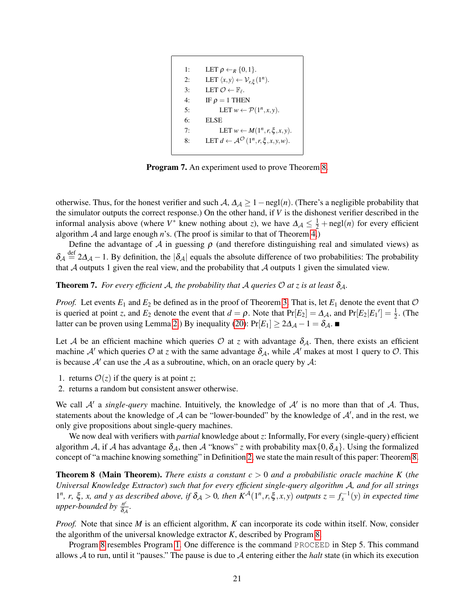<span id="page-20-1"></span>1: LET  $\rho \leftarrow_R \{0,1\}.$ 2: LET  $\langle x, y \rangle \leftarrow \mathcal{V}_{r, \xi}(1^n)$ . 3: LET  $\mathcal{O} \leftarrow \mathbb{F}_{\ell}$ . 4: IF  $\rho = 1$  THEN 5: LET  $w \leftarrow \mathcal{P}(1^n, x, y)$ . 6: ELSE 7: LET  $w \leftarrow M(1^n, r, \xi, x, y)$ . 8: LET  $d \leftarrow \mathcal{A}^{\mathcal{O}}(1^n, r, \xi, x, y, w).$ 

Program 7. An experiment used to prove Theorem [8.](#page-20-0)

otherwise. Thus, for the honest verifier and such  $A$ ,  $\Delta_A \geq 1 - \text{negl}(n)$ . (There's a negligible probability that the simulator outputs the correct response.) On the other hand, if *V* is the dishonest verifier described in the informal analysis above (where  $V^*$  knew nothing about *z*), we have  $\Delta A \leq \frac{1}{2} + \text{negl}(n)$  for every efficient algorithm A and large enough *n*'s. (The proof is similar to that of Theorem [4.](#page-17-1))

Define the advantage of  $A$  in guessing  $\rho$  (and therefore distinguishing real and simulated views) as  $\delta_A \stackrel{\text{def}}{=} 2\Delta_A - 1$ . By definition, the  $|\delta_A|$  equals the absolute difference of two probabilities: The probability that  $A$  outputs 1 given the real view, and the probability that  $A$  outputs 1 given the simulated view.

<span id="page-20-2"></span>**Theorem 7.** *For every efficient* A, the probability that A queries  $\mathcal O$  at z is at least  $\delta_{\mathcal A}$ *.* 

*Proof.* Let events  $E_1$  and  $E_2$  be defined as in the proof of Theorem [3.](#page-14-1) That is, let  $E_1$  denote the event that  $\mathcal O$ is queried at point *z*, and  $E_2$  denote the event that  $d = \rho$ . Note that  $Pr[E_2] = \Delta_{\mathcal{A}}$ , and  $Pr[E_2|E_1'] = \frac{1}{2}$ . (The latter can be proven using Lemma [2.](#page-16-0)) By inequality [\(20\)](#page-16-2):  $Pr[E_1] \ge 2\Delta_{\mathcal{A}} - 1 = \delta_{\mathcal{A}}$ . ■

Let A be an efficient machine which queries O at *z* with advantage  $\delta_A$ . Then, there exists an efficient machine A' which queries O at *z* with the same advantage  $\delta_A$ , while A' makes at most 1 query to O. This is because  $A'$  can use the A as a subroutine, which, on an oracle query by A:

- 1. returns  $\mathcal{O}(z)$  if the query is at point *z*;
- 2. returns a random but consistent answer otherwise.

We call  $A'$  a *single-query* machine. Intuitively, the knowledge of  $A'$  is no more than that of  $A$ . Thus, statements about the knowledge of  $A$  can be "lower-bounded" by the knowledge of  $A'$ , and in the rest, we only give propositions about single-query machines.

We now deal with verifiers with *partial* knowledge about *z*: Informally, For every (single-query) efficient algorithm A, if A has advantage  $\delta_A$ , then A "knows" *z* with probability max $\{0, \delta_A\}$ . Using the formalized concept of "a machine knowing something" in Definition [2,](#page-6-1) we state the main result of this paper: Theorem [8.](#page-20-0)

<span id="page-20-0"></span>Theorem 8 (Main Theorem). *There exists a constant c* > 0 *and a probabilistic oracle machine K* (*the Universal Knowledge Extractor*) *such that for every efficient single-query algorithm* A*, and for all strings*  $1^n$ , *r*,  $\xi$ , *x*, and *y* as described above, if  $\delta_A > 0$ , then  $K^{\mathcal{A}}(1^n, r, \xi, x, y)$  outputs  $z = f_x^{-1}(y)$  in expected time *upper-bounded by*  $\frac{n^c}{\delta}$  $\frac{n^c}{\delta_{\mathcal{A}}}$ .

*Proof.* Note that since *M* is an efficient algorithm, *K* can incorporate its code within itself. Now, consider the algorithm of the universal knowledge extractor *K*, described by Program [8.](#page-21-0)

Program [8](#page-21-0) resembles Program [1.](#page-11-0) One difference is the command PROCEED in Step 5. This command allows A to run, until it "pauses." The pause is due to A entering either the *halt* state (in which its execution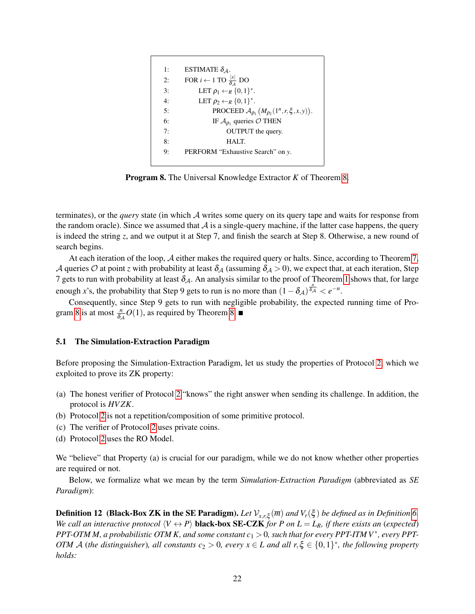<span id="page-21-0"></span>1: ESTIMATE  $\delta_{\mathcal{A}}$ . 2: FOR  $i \leftarrow 1$  TO  $\frac{|x|}{\delta A}$  DO 3: LET  $\rho_1 \leftarrow_R \{0,1\}^*$ . 4: LET  $\rho_2 \leftarrow_R \{0,1\}^*$ . 5: **PROCEED**  $\mathcal{A}_{\rho_1} (M_{\rho_2}(1^n, r, \xi, x, y)).$ 6: IF  $A_{\rho_1}$  queries  $\mathcal{O}$  THEN 7: OUTPUT the query. 8: HALT. 9: PERFORM "Exhaustive Search" on *y*.

Program 8. The Universal Knowledge Extractor *K* of Theorem [8.](#page-20-0)

terminates), or the *query* state (in which A writes some query on its query tape and waits for response from the random oracle). Since we assumed that  $A$  is a single-query machine, if the latter case happens, the query is indeed the string *z*, and we output it at Step 7, and finish the search at Step 8. Otherwise, a new round of search begins.

At each iteration of the loop, A either makes the required query or halts. Since, according to Theorem [7,](#page-20-2) A queries O at point *z* with probability at least  $\delta_A$  (assuming  $\delta_A > 0$ ), we expect that, at each iteration, Step 7 gets to run with probability at least  $\delta_A$ . An analysis similar to the proof of Theorem [1](#page-9-3) shows that, for large enough *x*'s, the probability that Step 9 gets to run is no more than  $(1 - \delta_{\mathcal{A}})^{\frac{n}{\delta_{\mathcal{A}}}} < e^{-n}$ .

Consequently, since Step 9 gets to run with negligible probability, the expected running time of Pro-gram [8](#page-21-0) is at most  $\frac{n}{\delta A}O(1)$ , as required by Theorem [8.](#page-20-0)

### <span id="page-21-1"></span>5.1 The Simulation-Extraction Paradigm

Before proposing the Simulation-Extraction Paradigm, let us study the properties of Protocol [2,](#page-14-0) which we exploited to prove its ZK property:

- (a) The honest verifier of Protocol [2](#page-14-0) "knows" the right answer when sending its challenge. In addition, the protocol is *HV ZK*.
- (b) Protocol [2](#page-14-0) is not a repetition/composition of some primitive protocol.
- (c) The verifier of Protocol [2](#page-14-0) uses private coins.
- (d) Protocol [2](#page-14-0) uses the RO Model.

We "believe" that Property (a) is crucial for our paradigm, while we do not know whether other properties are required or not.

Below, we formalize what we mean by the term *Simulation-Extraction Paradigm* (abbreviated as *SE Paradigm*):

<span id="page-21-2"></span>**Definition 12** (Black-Box ZK in the SE Paradigm). Let  $\mathcal{V}_{x,r,\xi}(\overline{m})$  and  $V_r(\xi)$  be defined as in Definition [6.](#page-8-4) *We call an interactive protocol*  $\langle V \leftrightarrow P \rangle$  **black-box SE-CZK** *for P on L* = *L<sub>R</sub>, if there exists an (expected) PPT-OTM M, a probabilistic OTM K, and some constant c*<sup>1</sup> > 0*, such that for every PPT-ITM V*<sup>∗</sup> *, every PPT-OTM*  $\mathcal A$  (*the distinguisher*), all constants  $c_2 > 0$ , every  $x \in L$  and all  $r, \xi \in \{0,1\}^*$ , the following property *holds:*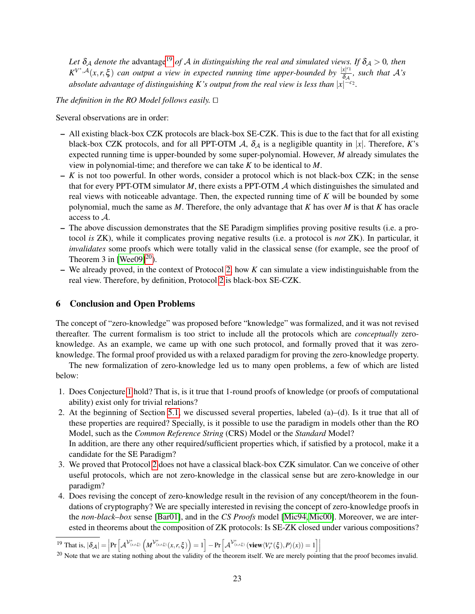Let  $\delta_A$  *denote the* advantage<sup>[19](#page-22-1)</sup> *of*  $A$  *in distinguishing the real and simulated views. If*  $\delta_A > 0$ *, then*  $K^{V^*,A}(x, r, \xi)$  *can output a view in expected running time upper-bounded by*  $\frac{|x|^{c_1}}{\delta_A}$  $\frac{x}{\delta A}$ , such that  $A$ 's absolute advantage of distinguishing K's output from the real view is less than  $|x|^{-c_2}$ .

The definition in the RO Model follows easily.  $\Box$ 

Several observations are in order:

- All existing black-box CZK protocols are black-box SE-CZK. This is due to the fact that for all existing black-box CZK protocols, and for all PPT-OTM  $\mathcal{A}$ ,  $\delta_{\mathcal{A}}$  is a negligible quantity in |x|. Therefore, *K*'s expected running time is upper-bounded by some super-polynomial. However, *M* already simulates the view in polynomial-time; and therefore we can take *K* to be identical to *M*.
- *K* is not too powerful. In other words, consider a protocol which is not black-box CZK; in the sense that for every PPT-OTM simulator *M*, there exists a PPT-OTM A which distinguishes the simulated and real views with noticeable advantage. Then, the expected running time of *K* will be bounded by some polynomial, much the same as *M*. Therefore, the only advantage that *K* has over *M* is that *K* has oracle access to A.
- The above discussion demonstrates that the SE Paradigm simplifies proving positive results (i.e. a protocol *is* ZK), while it complicates proving negative results (i.e. a protocol is *not* ZK). In particular, it *invalidates* some proofs which were totally valid in the classical sense (for example, see the proof of Theorem 3 in [\[Wee09\]](#page-26-2) $^{20}$  $^{20}$  $^{20}$ ).
- We already proved, in the context of Protocol [2,](#page-14-0) how *K* can simulate a view indistinguishable from the real view. Therefore, by definition, Protocol [2](#page-14-0) is black-box SE-CZK.

# <span id="page-22-0"></span>6 Conclusion and Open Problems

The concept of "zero-knowledge" was proposed before "knowledge" was formalized, and it was not revised thereafter. The current formalism is too strict to include all the protocols which are *conceptually* zeroknowledge. As an example, we came up with one such protocol, and formally proved that it was zeroknowledge. The formal proof provided us with a relaxed paradigm for proving the zero-knowledge property.

The new formalization of zero-knowledge led us to many open problems, a few of which are listed below:

- 1. Does Conjecture [1](#page-11-3) hold? That is, is it true that 1-round proofs of knowledge (or proofs of computational ability) exist only for trivial relations?
- 2. At the beginning of Section [5.1,](#page-21-1) we discussed several properties, labeled (a)–(d). Is it true that all of these properties are required? Specially, is it possible to use the paradigm in models other than the RO Model, such as the *Common Reference String* (CRS) Model or the *Standard* Model? In addition, are there any other required/sufficient properties which, if satisfied by a protocol, make it a candidate for the SE Paradigm?
- 3. We proved that Protocol [2](#page-14-0) does not have a classical black-box CZK simulator. Can we conceive of other useful protocols, which are not zero-knowledge in the classical sense but are zero-knowledge in our paradigm?
- 4. Does revising the concept of zero-knowledge result in the revision of any concept/theorem in the foundations of cryptography? We are specially interested in revising the concept of zero-knowledge proofs in the *non-black–box* sense [\[Bar01\]](#page-23-2), and in the *CS Proofs* model [\[Mic94,](#page-25-21)[Mic00\]](#page-25-22). Moreover, we are interested in theorems about the composition of ZK protocols: Is SE-ZK closed under various compositions?

<span id="page-22-1"></span><sup>&</sup>lt;sup>19</sup> That is,  $|\delta_{\mathcal{A}}| = \left| \Pr \left[ \mathcal{A}^{\mathcal{V}_{(x,r,\xi)}^*} \left( M^{\mathcal{V}_{(x,r,\xi)}^*}(x,r,\xi) \right) = 1 \right] - \Pr \left[ \mathcal{A}^{\mathcal{V}_{(x,r,\xi)}^*} \left( \text{view}\langle V_r^*(\xi), P \rangle(x) \right) = 1 \right] \right|$ <br><sup>20</sup> Note that we are stating nothing about the validity of the theo

<span id="page-22-2"></span>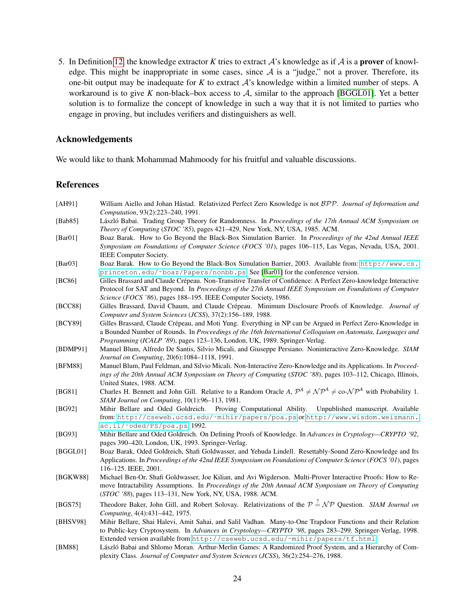5. In Definition [12,](#page-21-2) the knowledge extractor *K* tries to extract  $A$ 's knowledge as if  $A$  is a **prover** of knowledge. This might be inappropriate in some cases, since  $A$  is a "judge," not a prover. Therefore, its one-bit output may be inadequate for *K* to extract A's knowledge within a limited number of steps. A workaround is to give *K* non-black–box access to A, similar to the approach [\[BGGL01\]](#page-23-1). Yet a better solution is to formalize the concept of knowledge in such a way that it is not limited to parties who engage in proving, but includes verifiers and distinguishers as well.

# Acknowledgements

We would like to thank Mohammad Mahmoody for his fruitful and valuable discussions.

# References

- <span id="page-23-14"></span>[AH91] William Aiello and Johan Håstad. Relativized Perfect Zero Knowledge is not  $BPP$ . *Journal of Information and Computation*, 93(2):223–240, 1991.
- <span id="page-23-6"></span>[Bab85] László Babai. Trading Group Theory for Randomness. In *Proceedings of the 17th Annual ACM Symposium on Theory of Computing* (*STOC '85*), pages 421–429, New York, NY, USA, 1985. ACM.
- <span id="page-23-2"></span>[Bar01] Boaz Barak. How to Go Beyond the Black-Box Simulation Barrier. In *Proceedings of the 42nd Annual IEEE Symposium on Foundations of Computer Science* (*FOCS '01*), pages 106–115, Las Vegas, Nevada, USA, 2001. IEEE Computer Society.
- <span id="page-23-3"></span>[Bar03] Boaz Barak. How to Go Beyond the Black-Box Simulation Barrier, 2003. Available from: [http://www.cs.](http://www.cs.princeton.edu/~boaz/Papers/nonbb.ps) [princeton.edu/˜boaz/Papers/nonbb.ps](http://www.cs.princeton.edu/~boaz/Papers/nonbb.ps). See [\[Bar01\]](#page-23-2) for the conference version.
- <span id="page-23-8"></span>[BC86] Gilles Brassard and Claude Crepeau. Non-Transitive Transfer of Confidence: A Perfect Zero-knowledge Interactive ´ Protocol for SAT and Beyond. In *Proceedings of the 27th Annual IEEE Symposium on Foundations of Computer Science* (*FOCS '86*), pages 188–195. IEEE Computer Society, 1986.
- <span id="page-23-9"></span>[BCC88] Gilles Brassard, David Chaum, and Claude Crépeau. Minimum Disclosure Proofs of Knowledge. *Journal of Computer and System Sciences* (*JCSS*), 37(2):156–189, 1988.
- <span id="page-23-10"></span>[BCY89] Gilles Brassard, Claude Crépeau, and Moti Yung. Everything in NP can be Argued in Perfect Zero-Knowledge in a Bounded Number of Rounds. In *Proceedings of the 16th International Colloquium on Automata, Languages and Programming* (*ICALP '89*), pages 123–136, London, UK, 1989. Springer-Verlag.
- <span id="page-23-5"></span>[BDMP91] Manuel Blum, Alfredo De Santis, Silvio Micali, and Giuseppe Persiano. Noninteractive Zero-Knowledge. *SIAM Journal on Computing*, 20(6):1084–1118, 1991.
- <span id="page-23-4"></span>[BFM88] Manuel Blum, Paul Feldman, and Silvio Micali. Non-Interactive Zero-Knowledge and its Applications. In *Proceedings of the 20th Annual ACM Symposium on Theory of Computing* (*STOC '88*), pages 103–112, Chicago, Illinois, United States, 1988. ACM.
- <span id="page-23-15"></span>[BG81] Charles H. Bennett and John Gill. Relative to a Random Oracle *A*,  $\mathcal{P}^A \neq \mathcal{NP}^A \neq \text{co-}\mathcal{NP}^A$  with Probability 1. *SIAM Journal on Computing*, 10(1):96–113, 1981.
- <span id="page-23-11"></span>[BG92] Mihir Bellare and Oded Goldreich. Proving Computational Ability. Unpublished manuscript. Available from: [http://cseweb.ucsd.edu/˜mihir/papers/poa.ps](http://cseweb.ucsd.edu/~mihir/papers/poa.ps) or [http://www.wisdom.weizmann.](http://www.wisdom.weizmann.ac.il/~oded/PS/poa.ps) [ac.il/˜oded/PS/poa.ps](http://www.wisdom.weizmann.ac.il/~oded/PS/poa.ps), 1992.
- <span id="page-23-0"></span>[BG93] Mihir Bellare and Oded Goldreich. On Defining Proofs of Knowledge. In *Advances in Cryptology—CRYPTO '92*, pages 390–420, London, UK, 1993. Springer-Verlag.
- <span id="page-23-1"></span>[BGGL01] Boaz Barak, Oded Goldreich, Shafi Goldwasser, and Yehuda Lindell. Resettably-Sound Zero-Knowledge and Its Applications. In *Proceedings of the 42nd IEEE Symposium on Foundations of Computer Science* (*FOCS '01*), pages 116–125. IEEE, 2001.
- <span id="page-23-12"></span>[BGKW88] Michael Ben-Or, Shafi Goldwasser, Joe Kilian, and Avi Wigderson. Multi-Prover Interactive Proofs: How to Remove Intractability Assumptions. In *Proceedings of the 20th Annual ACM Symposium on Theory of Computing* (*STOC '88*), pages 113–131, New York, NY, USA, 1988. ACM.
- <span id="page-23-16"></span>[BGS75] Theodore Baker, John Gill, and Robert Solovay. Relativizations of the  $P \stackrel{?}{=} N \mathcal{P}$  Question. *SIAM Journal on Computing*, 4(4):431–442, 1975.
- <span id="page-23-13"></span>[BHSV98] Mihir Bellare, Shai Halevi, Amit Sahai, and Salil Vadhan. Many-to-One Trapdoor Functions and their Relation to Public-key Cryptosystem. In *Advances in Cryptology—CRYPTO '98*, pages 283–299. Springer-Verlag, 1998. Extended version available from [http://cseweb.ucsd.edu/˜mihir/papers/tf.html](http://cseweb.ucsd.edu/~mihir/papers/tf.html).
- <span id="page-23-7"></span>[BM88] László Babai and Shlomo Moran. Arthur-Merlin Games: A Randomized Proof System, and a Hierarchy of Complexity Class. *Journal of Computer and System Sciences* (*JCSS*), 36(2):254–276, 1988.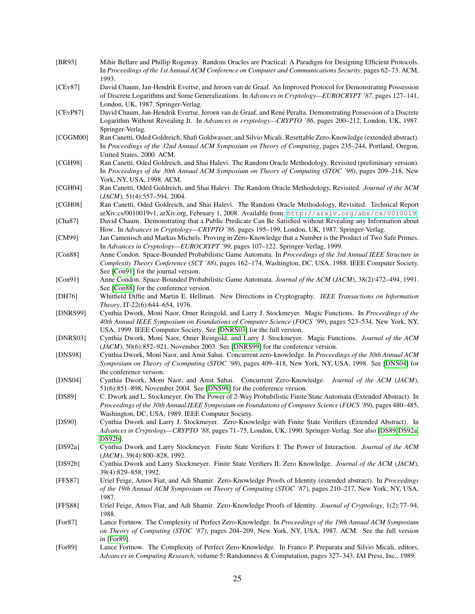<span id="page-24-23"></span><span id="page-24-22"></span><span id="page-24-21"></span><span id="page-24-20"></span><span id="page-24-19"></span><span id="page-24-18"></span><span id="page-24-17"></span><span id="page-24-16"></span><span id="page-24-15"></span><span id="page-24-14"></span><span id="page-24-13"></span><span id="page-24-12"></span><span id="page-24-11"></span><span id="page-24-10"></span><span id="page-24-9"></span><span id="page-24-8"></span><span id="page-24-7"></span><span id="page-24-6"></span><span id="page-24-5"></span><span id="page-24-4"></span><span id="page-24-3"></span><span id="page-24-2"></span><span id="page-24-1"></span><span id="page-24-0"></span>[BR93] Mihir Bellare and Phillip Rogaway. Random Oracles are Practical: A Paradigm for Designing Efficient Protocols. In *Proceedings of the 1st Annual ACM Conference on Computer and Communications Security*, pages 62–73. ACM, 1993. [CEv87] David Chaum, Jan-Hendrik Evertse, and Jeroen van de Graaf. An Improved Protocol for Demonstrating Possession of Discrete Logarithms and Some Generalizations. In *Advances in Cryptology—EUROCRYPT '87*, pages 127–141, London, UK, 1987. Springer-Verlag. [CEvP87] David Chaum, Jan-Hendrik Evertse, Jeroen van de Graaf, and Rene Peralta. Demonstrating Possession of a Discrete ´ Logarithm Without Revealing It. In *Advances in cryptology—CRYPTO '86*, pages 200–212, London, UK, 1987. Springer-Verlag. [CGGM00] Ran Canetti, Oded Goldreich, Shafi Goldwasser, and Silvio Micali. Resettable Zero-Knowledge (extended abstract). In *Proceedings of the 32nd Annual ACM Symposium on Theory of Computing*, pages 235–244, Portland, Oregon, United States, 2000. ACM. [CGH98] Ran Canetti, Oded Goldreich, and Shai Halevi. The Random Oracle Methodology, Revisited (preliminary version). In *Proceedings of the 30th Annual ACM Symposium on Theory of Computing* (*STOC '98*), pages 209–218, New York, NY, USA, 1998. ACM. [CGH04] Ran Canetti, Oded Goldreich, and Shai Halevi. The Random Oracle Methodology, Revisited. *Journal of the ACM* (*JACM*), 51(4):557–594, 2004. [CGH08] Ran Canetti, Oded Goldreich, and Shai Halevi. The Random Oracle Methodology, Revisited. Technical Report arXiv:cs/0010019v1, arXiv.org, February 1, 2008. Available from: <http://arxiv.org/abs/cs/0010019>. [Cha87] David Chaum. Demonstrating that a Public Predicate Can Be Satisfied without Revealing any Information about How. In *Advances in Cryptology—CRYPTO '86*, pages 195–199, London, UK, 1987. Springer-Verlag. [CM99] Jan Camenisch and Markus Michels. Proving in Zero-Knowledge that a Number is the Product of Two Safe Primes. In *Advances in Cryptology—EUROCRYPT '99*, pages 107–122. Springer-Verlag, 1999. [Con88] Anne Condon. Space-Bounded Probabilistic Game Automata. In *Proceedings of the 3rd Annual IEEE Structure in Complexity Theory Conference* (*SCT '88*), pages 162–174, Washington, DC, USA, 1988. IEEE Computer Society. See [\[Con91\]](#page-24-18) for the journal version. [Con91] Anne Condon. Space-Bounded Probabilistic Game Automata. *Journal of the ACM* (*JACM*), 38(2):472–494, 1991. See [\[Con88\]](#page-24-7) for the conference version. [DH76] Whitfield Diffie and Martin E. Hellman. New Directions in Cryptography. *IEEE Transactions on Information Theory*, IT-22(6):644–654, 1976. [DNRS99] Cynthia Dwork, Moni Naor, Omer Reingold, and Larry J. Stockmeyer. Magic Functions. In *Proceedings of the 40th Annual IEEE Symposium on Foundations of Computer Science* (*FOCS '99*), pages 523–534, New York, NY, USA, 1999. IEEE Computer Society. See [\[DNRS03\]](#page-24-10) for the full version. [DNRS03] Cynthia Dwork, Moni Naor, Omer Reingold, and Larry J. Stockmeyer. Magic Functions. *Journal of the ACM* (*JACM*), 50(6):852–921, November 2003. See [\[DNRS99\]](#page-24-9) for the conference version. [DNS98] Cynthia Dwork, Moni Naor, and Amit Sahai. Concurrent zero-knowledge. In *Proceedings of the 30th Annual ACM Symposium on Theory of Csomputing* (*STOC '98*), pages 409–418, New York, NY, USA, 1998. See [\[DNS04\]](#page-24-19) for the conference version. [DNS04] Cynthia Dwork, Moni Naor, and Amit Sahai. Concurrent Zero-Knowledge. *Journal of the ACM* (*JACM*), 51(6):851–898, November 2004. See [\[DNS98\]](#page-24-2) for the conference version. [DS89] C. Dwork and L. Stockmeyer. On The Power of 2-Way Probabilistic Finite State Automata (Extended Abstract). In *Proceedings of the 30th Annual IEEE Symposium on Foundations of Computer Science* (*FOCS '89*), pages 480–485, Washington, DC, USA, 1989. IEEE Computer Society. [DS90] Cynthia Dwork and Larry J. Stockmeyer. Zero-Knowledge with Finite State Verifiers (Extended Abstract). In *Advances in Cryptology—CRYPTO '88*, pages 71–75, London, UK, 1990. Springer-Verlag. See also [\[DS89](#page-24-20)[,DS92a,](#page-24-21) [DS92b\]](#page-24-22). [DS92a] Cynthia Dwork and Larry Stockmeyer. Finite State Verifiers I: The Power of Interaction. *Journal of the ACM* (*JACM*), 39(4):800–828, 1992. [DS92b] Cynthia Dwork and Larry Stockmeyer. Finite State Verifiers II: Zero Knowledge. *Journal of the ACM* (*JACM*), 39(4):829–858, 1992. [FFS87] Uriel Feige, Amos Fiat, and Adi Shamir. Zero-Knowledge Proofs of Identity (extended abstract). In *Proceedings of the 19th Annual ACM Symposium on Theory of Computing* (*STOC '87*), pages 210–217, New York, NY, USA, 1987. [FFS88] Uriel Feige, Amos Fiat, and Adi Shamir. Zero-Knowledge Proofs of Identity. *Journal of Cryptology*, 1(2):77–94, 1988. [For87] Lance Fortnow. The Complexity of Perfect Zero-Knowledge. In *Proceedings of the 19th Annual ACM Symposium on Theory of Computing* (*STOC '87*), pages 204–209, New York, NY, USA, 1987. ACM. See the full version in [\[For89\]](#page-24-23). [For89] Lance Fortnow. The Complexity of Perfect Zero-Knowledge. In Franco P. Preparata and Silvio Micali, editors,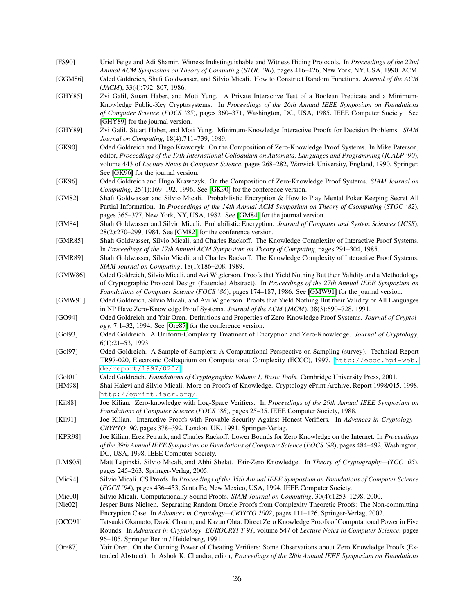- <span id="page-25-1"></span>[FS90] Uriel Feige and Adi Shamir. Witness Indistinguishable and Witness Hiding Protocols. In *Proceedings of the 22nd Annual ACM Symposium on Theory of Computing* (*STOC '90*), pages 416–426, New York, NY, USA, 1990. ACM.
- <span id="page-25-20"></span>[GGM86] Oded Goldreich, Shafi Goldwasser, and Silvio Micali. How to Construct Random Functions. *Journal of the ACM* (*JACM*), 33(4):792–807, 1986.
- <span id="page-25-7"></span>[GHY85] Zvi Galil, Stuart Haber, and Moti Yung. A Private Interactive Test of a Boolean Predicate and a Minimum-Knowledge Public-Key Cryptosystems. In *Proceedings of the 26th Annual IEEE Symposium on Foundations of Computer Science* (*FOCS '85*), pages 360–371, Washington, DC, USA, 1985. IEEE Computer Society. See [\[GHY89\]](#page-25-23) for the journal version.
- <span id="page-25-23"></span>[GHY89] Zvi Galil, Stuart Haber, and Moti Yung. Minimum-Knowledge Interactive Proofs for Decision Problems. *SIAM Journal on Computing*, 18(4):711–739, 1989.
- <span id="page-25-8"></span>[GK90] Oded Goldreich and Hugo Krawczyk. On the Composition of Zero-Knowledge Proof Systems. In Mike Paterson, editor, *Proceedings of the 17th International Colloquium on Automata, Languages and Programming* (*ICALP '90*), volume 443 of *Lecture Notes in Computer Science*, pages 268–282, Warwick University, England, 1990. Springer. See [\[GK96\]](#page-25-19) for the journal version.
- <span id="page-25-19"></span>[GK96] Oded Goldreich and Hugo Krawczyk. On the Composition of Zero-Knowledge Proof Systems. *SIAM Journal on Computing*, 25(1):169–192, 1996. See [\[GK90\]](#page-25-8) for the conference version.
- <span id="page-25-24"></span>[GM82] Shafi Goldwasser and Silvio Micali. Probabilistic Encryption & How to Play Mental Poker Keeping Secret All Partial Information. In *Proceedings of the 14th Annual ACM Symposium on Theory of Csomputing* (*STOC '82*), pages 365–377, New York, NY, USA, 1982. See [\[GM84\]](#page-25-16) for the journal version.
- <span id="page-25-16"></span>[GM84] Shafi Goldwasser and Silvio Micali. Probabilistic Encryption. *Journal of Computer and System Sciences* (*JCSS*), 28(2):270–299, 1984. See [\[GM82\]](#page-25-24) for the conference version.
- <span id="page-25-0"></span>[GMR85] Shafi Goldwasser, Silvio Micali, and Charles Rackoff. The Knowledge Complexity of Interactive Proof Systems. In *Proceedings of the 17th Annual ACM Symposium on Theory of Computing*, pages 291–304, 1985.
- <span id="page-25-3"></span>[GMR89] Shafi Goldwasser, Silvio Micali, and Charles Rackoff. The Knowledge Complexity of Interactive Proof Systems. *SIAM Journal on Computing*, 18(1):186–208, 1989.
- <span id="page-25-6"></span>[GMW86] Oded Goldreich, Silvio Micali, and Avi Wigderson. Proofs that Yield Nothing But their Validity and a Methodology of Cryptographic Protocol Design (Extended Abstract). In *Proceedings of the 27th Annual IEEE Symposium on Foundations of Computer Science* (*FOCS '86*), pages 174–187, 1986. See [\[GMW91\]](#page-25-25) for the journal version.
- <span id="page-25-25"></span>[GMW91] Oded Goldreich, Silvio Micali, and Avi Wigderson. Proofs that Yield Nothing But their Validity or All Languages in NP Have Zero-Knowledge Proof Systems. *Journal of the ACM* (*JACM*), 38(3):690–728, 1991.
- <span id="page-25-17"></span>[GO94] Oded Goldreich and Yair Oren. Definitions and Properties of Zero-Knowledge Proof Systems. *Journal of Cryptology*, 7:1–32, 1994. See [\[Ore87\]](#page-25-4) for the conference version.
- <span id="page-25-5"></span>[Gol93] Oded Goldreich. A Uniform-Complexity Treatment of Encryption and Zero-Knowledge. *Journal of Cryptology*, 6(1):21–53, 1993.
- <span id="page-25-18"></span>[Gol97] Oded Goldreich. A Sample of Samplers: A Computational Perspective on Sampling (survey). Technical Report TR97-020, Electronic Colloquium on Computational Complexity (ECCC), 1997. [http://eccc.hpi-web.](http://eccc.hpi-web.de/report/1997/020/) [de/report/1997/020/](http://eccc.hpi-web.de/report/1997/020/).
- <span id="page-25-15"></span>[Gol01] Oded Goldreich. *Foundations of Cryptography: Volume 1, Basic Tools*. Cambridge University Press, 2001.
- <span id="page-25-2"></span>[HM98] Shai Halevi and Silvio Micali. More on Proofs of Knowledge. Cryptology ePrint Archive, Report 1998/015, 1998. <http://eprint.iacr.org/>.
- <span id="page-25-12"></span>[Kil88] Joe Kilian. Zero-knowledge with Log-Space Verifiers. In *Proceedings of the 29th Annual IEEE Symposium on Foundations of Computer Science* (*FOCS '88*), pages 25–35. IEEE Computer Society, 1988.
- <span id="page-25-11"></span>[Kil91] Joe Kilian. Interactive Proofs with Provable Security Against Honest Verifiers. In *Advances in Cryptology— CRYPTO '90*, pages 378–392, London, UK, 1991. Springer-Verlag.
- <span id="page-25-9"></span>[KPR98] Joe Kilian, Erez Petrank, and Charles Rackoff. Lower Bounds for Zero Knowledge on the Internet. In *Proceedings of the 39th Annual IEEE Symposium on Foundations of Computer Science* (*FOCS '98*), pages 484–492, Washington, DC, USA, 1998. IEEE Computer Society.
- <span id="page-25-13"></span>[LMS05] Matt Lepinski, Silvio Micali, and Abhi Shelat. Fair-Zero Knowledge. In *Theory of Cryptography—*(*TCC '05*), pages 245–263. Springer-Verlag, 2005.
- <span id="page-25-21"></span>[Mic94] Silvio Micali. CS Proofs. In *Proceedings of the 35th Annual IEEE Symposium on Foundations of Computer Science* (*FOCS '94*), pages 436–453, Santa Fe, New Mexico, USA, 1994. IEEE Computer Society.
- <span id="page-25-22"></span>[Mic00] Silvio Micali. Computationally Sound Proofs. *SIAM Journal on Computing*, 30(4):1253–1298, 2000.
- <span id="page-25-10"></span>[Nie02] Jesper Buus Nielsen. Separating Random Oracle Proofs from Complexity Theoretic Proofs: The Non-committing Encryption Case. In *Advances in Cryptology—CRYPTO 2002*, pages 111–126. Springer-Verlag, 2002.
- <span id="page-25-14"></span>[OCO91] Tatsuaki Okamoto, David Chaum, and Kazuo Ohta. Direct Zero Knowledge Proofs of Computational Power in Five Rounds. In *Advances in Cryptology EUROCRYPT 91*, volume 547 of *Lecture Notes in Computer Science*, pages 96–105. Springer Berlin / Heidelberg, 1991.
- <span id="page-25-4"></span>[Ore87] Yair Oren. On the Cunning Power of Cheating Verifiers: Some Observations about Zero Knowledge Proofs (Extended Abstract). In Ashok K. Chandra, editor, *Proceedings of the 28th Annual IEEE Symposium on Foundations*